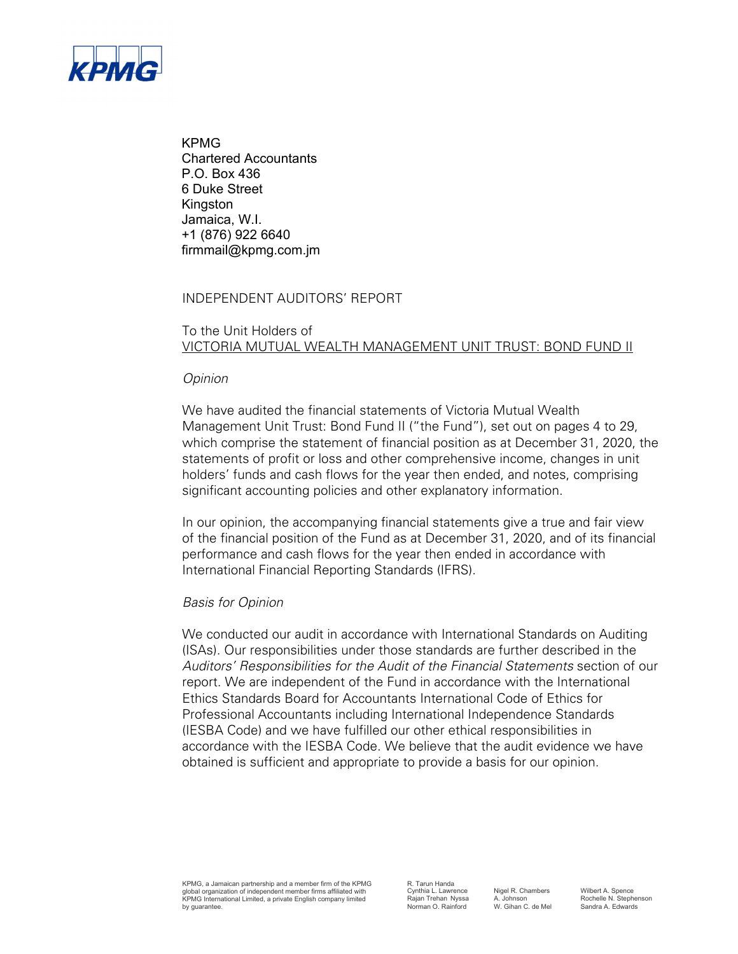

KPMG Chartered Accountants P.O. Box 436 6 Duke Street Kingston Jamaica, W.I. +1 (876) 922 6640 firmmail@kpmg.com.jm

## INDEPENDENT AUDITORS' REPORT

# To the Unit Holders of VICTORIA MUTUAL WEALTH MANAGEMENT UNIT TRUST: BOND FUND II

## *Opinion*

We have audited the financial statements of Victoria Mutual Wealth Management Unit Trust: Bond Fund II ("the Fund"), set out on pages 4 to 29, which comprise the statement of financial position as at December 31, 2020, the statements of profit or loss and other comprehensive income, changes in unit holders' funds and cash flows for the year then ended, and notes, comprising significant accounting policies and other explanatory information.

In our opinion, the accompanying financial statements give a true and fair view of the financial position of the Fund as at December 31, 2020, and of its financial performance and cash flows for the year then ended in accordance with International Financial Reporting Standards (IFRS).

## *Basis for Opinion*

We conducted our audit in accordance with International Standards on Auditing (ISAs). Our responsibilities under those standards are further described in the *Auditors' Responsibilities for the Audit of the Financial Statements* section of our report. We are independent of the Fund in accordance with the International Ethics Standards Board for Accountants International Code of Ethics for Professional Accountants including International Independence Standards (IESBA Code) and we have fulfilled our other ethical responsibilities in accordance with the IESBA Code. We believe that the audit evidence we have obtained is sufficient and appropriate to provide a basis for our opinion.

R. Tarun Handa<br>Cynthia L. Lawrence

Nigel R. Chambers Wilbert A. Spence<br>
A. Johnson Rochelle N. Stephenson<br>
W. Gihan C. de Mel Sandra A. Edwards Rajan Trehan Nyssa A. Johnson Rochelle N. Stephenson Norman O. Rainford W. Gihan C. de Mel Sandra A. Edwards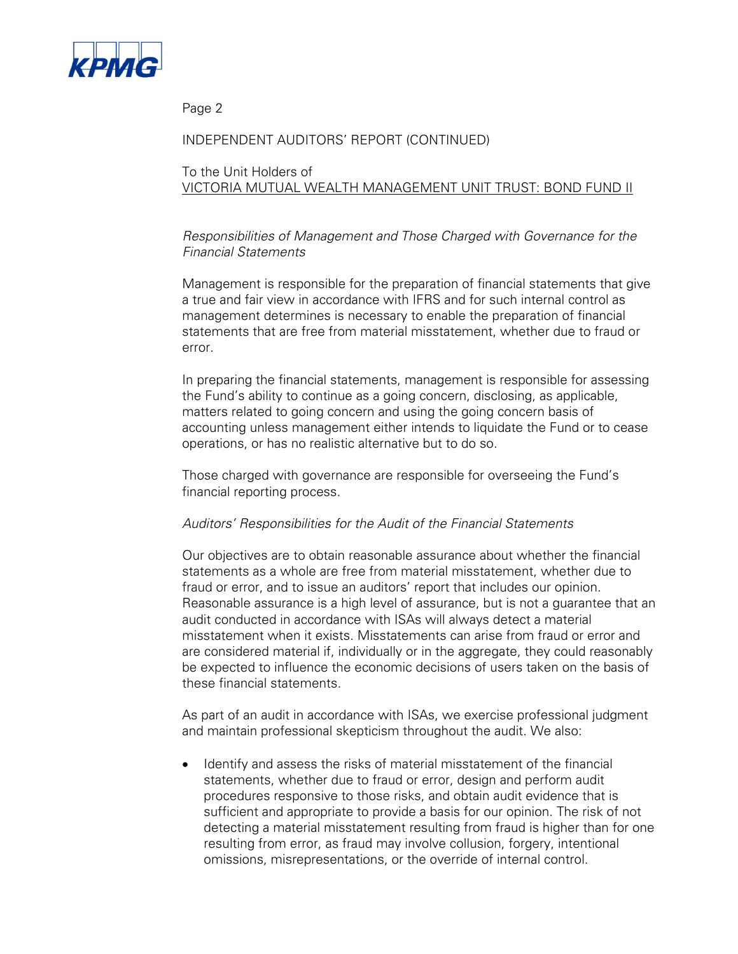

Page 2

# INDEPENDENT AUDITORS' REPORT (CONTINUED)

# To the Unit Holders of VICTORIA MUTUAL WEALTH MANAGEMENT UNIT TRUST: BOND FUND II

# *Responsibilities of Management and Those Charged with Governance for the Financial Statements*

Management is responsible for the preparation of financial statements that give a true and fair view in accordance with IFRS and for such internal control as management determines is necessary to enable the preparation of financial statements that are free from material misstatement, whether due to fraud or error.

In preparing the financial statements, management is responsible for assessing the Fund's ability to continue as a going concern, disclosing, as applicable, matters related to going concern and using the going concern basis of accounting unless management either intends to liquidate the Fund or to cease operations, or has no realistic alternative but to do so.

Those charged with governance are responsible for overseeing the Fund's financial reporting process.

## *Auditors' Responsibilities for the Audit of the Financial Statements*

Our objectives are to obtain reasonable assurance about whether the financial statements as a whole are free from material misstatement, whether due to fraud or error, and to issue an auditors' report that includes our opinion. Reasonable assurance is a high level of assurance, but is not a guarantee that an audit conducted in accordance with ISAs will always detect a material misstatement when it exists. Misstatements can arise from fraud or error and are considered material if, individually or in the aggregate, they could reasonably be expected to influence the economic decisions of users taken on the basis of these financial statements.

As part of an audit in accordance with ISAs, we exercise professional judgment and maintain professional skepticism throughout the audit. We also:

• Identify and assess the risks of material misstatement of the financial statements, whether due to fraud or error, design and perform audit procedures responsive to those risks, and obtain audit evidence that is sufficient and appropriate to provide a basis for our opinion. The risk of not detecting a material misstatement resulting from fraud is higher than for one resulting from error, as fraud may involve collusion, forgery, intentional omissions, misrepresentations, or the override of internal control.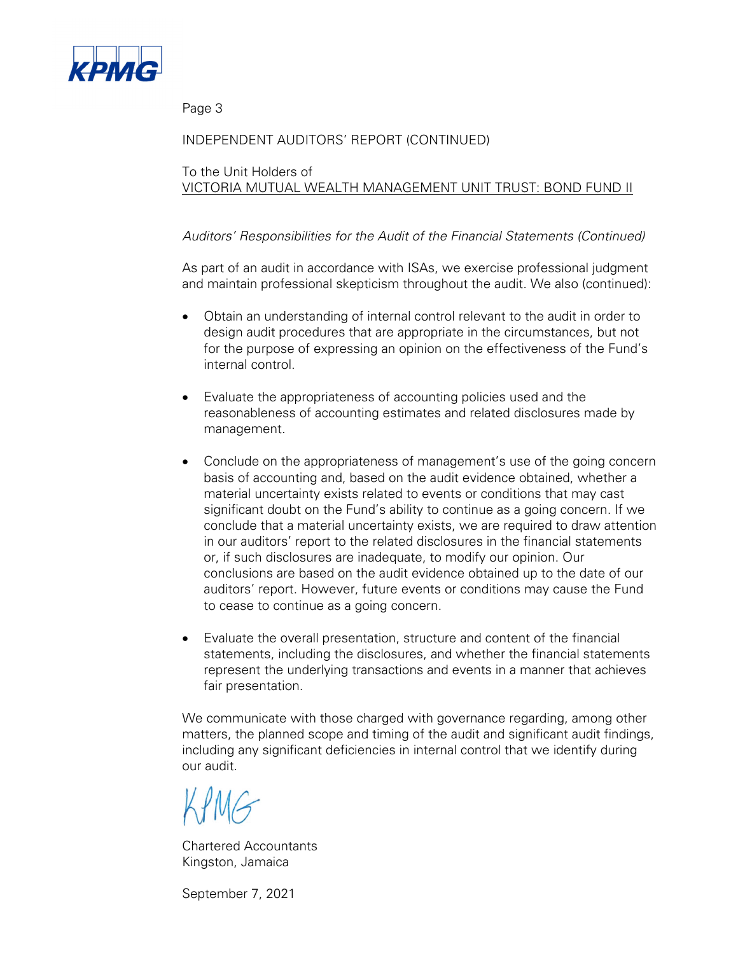

Page 3

# INDEPENDENT AUDITORS' REPORT (CONTINUED)

To the Unit Holders of VICTORIA MUTUAL WEALTH MANAGEMENT UNIT TRUST: BOND FUND II

# *Auditors' Responsibilities for the Audit of the Financial Statements (Continued)*

As part of an audit in accordance with ISAs, we exercise professional judgment and maintain professional skepticism throughout the audit. We also (continued):

- Obtain an understanding of internal control relevant to the audit in order to design audit procedures that are appropriate in the circumstances, but not for the purpose of expressing an opinion on the effectiveness of the Fund's internal control.
- Evaluate the appropriateness of accounting policies used and the reasonableness of accounting estimates and related disclosures made by management.
- Conclude on the appropriateness of management's use of the going concern basis of accounting and, based on the audit evidence obtained, whether a material uncertainty exists related to events or conditions that may cast significant doubt on the Fund's ability to continue as a going concern. If we conclude that a material uncertainty exists, we are required to draw attention in our auditors' report to the related disclosures in the financial statements or, if such disclosures are inadequate, to modify our opinion. Our conclusions are based on the audit evidence obtained up to the date of our auditors' report. However, future events or conditions may cause the Fund to cease to continue as a going concern.
- Evaluate the overall presentation, structure and content of the financial statements, including the disclosures, and whether the financial statements represent the underlying transactions and events in a manner that achieves fair presentation.

We communicate with those charged with governance regarding, among other matters, the planned scope and timing of the audit and significant audit findings, including any significant deficiencies in internal control that we identify during our audit.

Chartered Accountants Kingston, Jamaica

September 7, 2021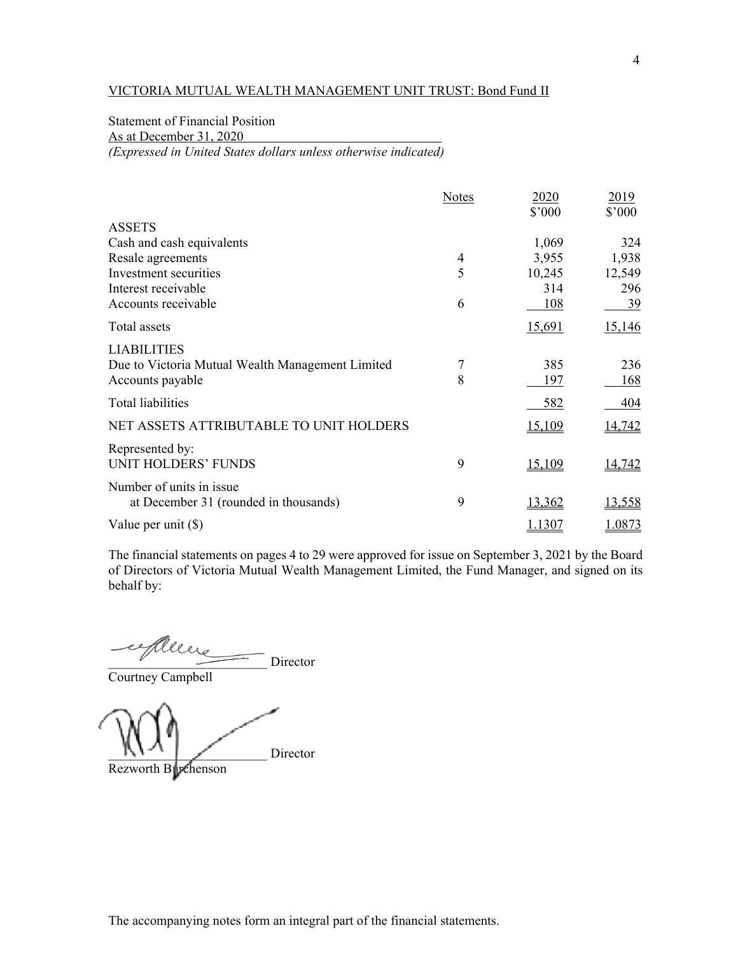# Statement of Financial Position

As at December 31, 2020

*(Expressed in United States dollars unless otherwise indicated)* 

|                                                  | <b>Notes</b> | 2020          | 2019          |
|--------------------------------------------------|--------------|---------------|---------------|
| <b>ASSETS</b>                                    |              | \$'000        | \$'000        |
| Cash and cash equivalents                        |              | 1,069         | 324           |
| Resale agreements                                | 4            | 3,955         | 1,938         |
| Investment securities                            | 5            | 10,245        | 12,549        |
| Interest receivable                              |              | 314           | 296           |
| Accounts receivable                              | 6            | 108           | <u>39</u>     |
| Total assets                                     |              | 15,691        | 15,146        |
| <b>LIABILITIES</b>                               |              |               |               |
| Due to Victoria Mutual Wealth Management Limited | 7            | 385           | 236           |
| Accounts payable                                 | 8            | 197           | 168           |
| <b>Total liabilities</b>                         |              | 582           | 404           |
| NET ASSETS ATTRIBUTABLE TO UNIT HOLDERS          |              | 15,109        | 14,742        |
| Represented by:                                  |              |               |               |
| <b>UNIT HOLDERS' FUNDS</b>                       | 9            | <u>15,109</u> | <u>14,742</u> |
| Number of units in issue                         |              |               |               |
| at December 31 (rounded in thousands)            | 9            | 13,362        | 13,558        |
| Value per unit $(\$)$                            |              | <u>1.1307</u> | 1.0873        |

The financial statements on pages 4 to 29 were approved for issue on September 3, 2021 by the Board of Directors of Victoria Mutual Wealth Management Limited, the Fund Manager, and signed on its behalf by:

 $\sqrt{2}$  Director

Courtney Campbell

Director

Rezworth Burchenson

The accompanying notes form an integral part of the financial statements.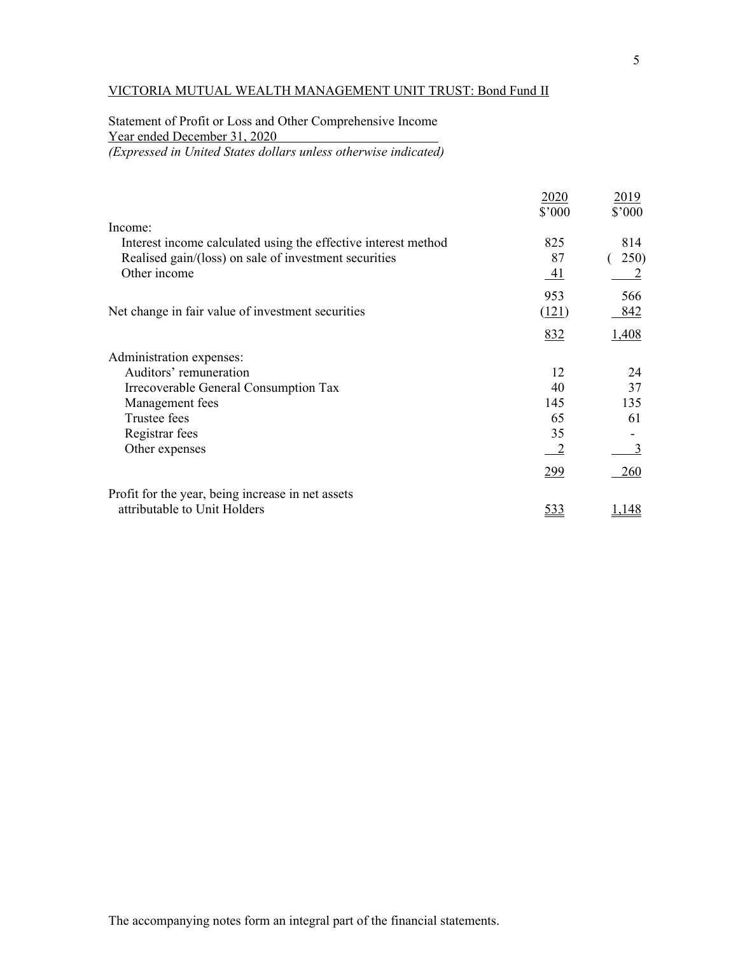# Statement of Profit or Loss and Other Comprehensive Income Year ended December 31, 2020

*(Expressed in United States dollars unless otherwise indicated)* 

|                                                                | 2020<br>\$'000 | 2019<br>\$'000 |
|----------------------------------------------------------------|----------------|----------------|
| Income:                                                        |                |                |
| Interest income calculated using the effective interest method | 825            | 814            |
| Realised gain/(loss) on sale of investment securities          | 87             | 250)           |
| Other income                                                   | <u>_41</u>     |                |
|                                                                | 953            | 566            |
| Net change in fair value of investment securities              | <u>(121)</u>   | 842            |
|                                                                | 832            | 1,408          |
| Administration expenses:                                       |                |                |
| Auditors' remuneration                                         | 12             | 24             |
| Irrecoverable General Consumption Tax                          | 40             | 37             |
| Management fees                                                | 145            | 135            |
| Trustee fees                                                   | 65             | 61             |
| Registrar fees                                                 | 35             |                |
| Other expenses                                                 | $\sqrt{2}$     | 3              |
|                                                                | <u>299</u>     | 260            |
| Profit for the year, being increase in net assets              |                |                |
| attributable to Unit Holders                                   | <u>533</u>     | .48            |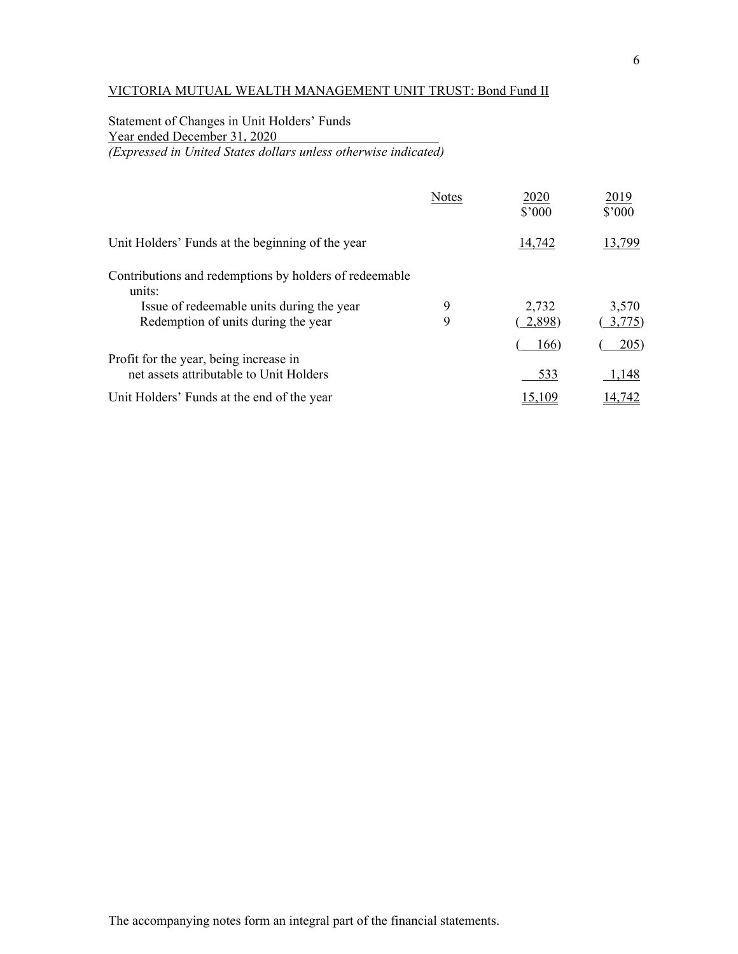Statement of Changes in Unit Holders' Funds Year ended December 31, 2020 *(Expressed in United States dollars unless otherwise indicated)* 

|                                                                                                                                                      | <b>Notes</b> | 2020<br>\$'000  | 2019<br>\$'000 |
|------------------------------------------------------------------------------------------------------------------------------------------------------|--------------|-----------------|----------------|
| Unit Holders' Funds at the beginning of the year                                                                                                     |              | 14,742          | 13,799         |
| Contributions and redemptions by holders of redeemable<br>units:<br>Issue of redeemable units during the year<br>Redemption of units during the year | 9<br>9       | 2,732<br>2,898) | 3,570<br>3,775 |
| Profit for the year, being increase in<br>net assets attributable to Unit Holders                                                                    |              | 166)<br>533     | 205)<br>1,148  |
| Unit Holders' Funds at the end of the year                                                                                                           |              |                 | 14.742         |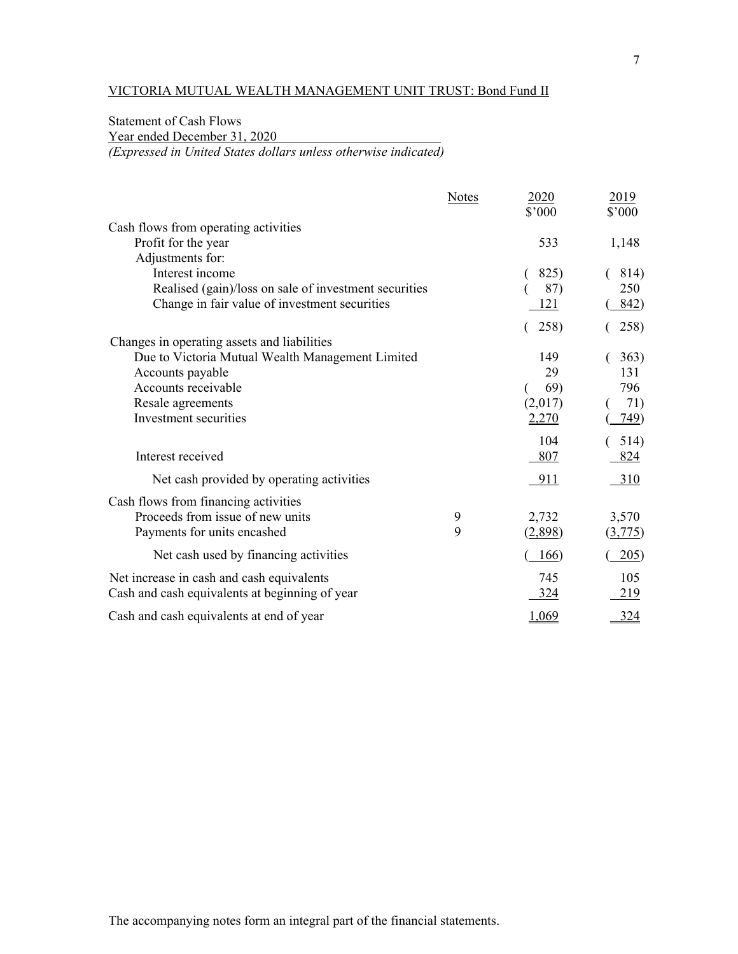# Statement of Cash Flows

Year ended December 31, 2020

*(Expressed in United States dollars unless otherwise indicated)* 

|                                                       | <b>Notes</b> | 2020<br>\$'000          | 2019<br>\$'000                   |
|-------------------------------------------------------|--------------|-------------------------|----------------------------------|
| Cash flows from operating activities                  |              |                         |                                  |
| Profit for the year                                   |              | 533                     | 1,148                            |
| Adjustments for:                                      |              |                         |                                  |
| Interest income                                       |              | 825)                    | 814)                             |
| Realised (gain)/loss on sale of investment securities |              | 87)                     | 250                              |
| Change in fair value of investment securities         |              | <u> 121</u>             | 842)                             |
|                                                       |              | 258)                    | 258)                             |
| Changes in operating assets and liabilities           |              |                         |                                  |
| Due to Victoria Mutual Wealth Management Limited      |              | 149                     | 363)                             |
| Accounts payable                                      |              | 29                      | 131                              |
| Accounts receivable                                   |              | 69)                     | 796                              |
| Resale agreements<br>Investment securities            |              | (2,017)<br><u>2,270</u> | 71)<br>749)                      |
|                                                       |              |                         |                                  |
|                                                       |              | 104                     | 514)                             |
| Interest received                                     |              | 807                     | 824                              |
| Net cash provided by operating activities             |              | 911                     | 310                              |
| Cash flows from financing activities                  |              |                         |                                  |
| Proceeds from issue of new units                      | 9            | 2,732                   | 3,570                            |
| Payments for units encashed                           | 9            | (2,898)                 | $\left( \frac{3,775}{2} \right)$ |
| Net cash used by financing activities                 |              | 166)                    | 205)                             |
| Net increase in cash and cash equivalents             |              | 745                     | 105                              |
| Cash and cash equivalents at beginning of year        |              | 324                     | 219                              |
| Cash and cash equivalents at end of year              |              | 1,069                   | 324                              |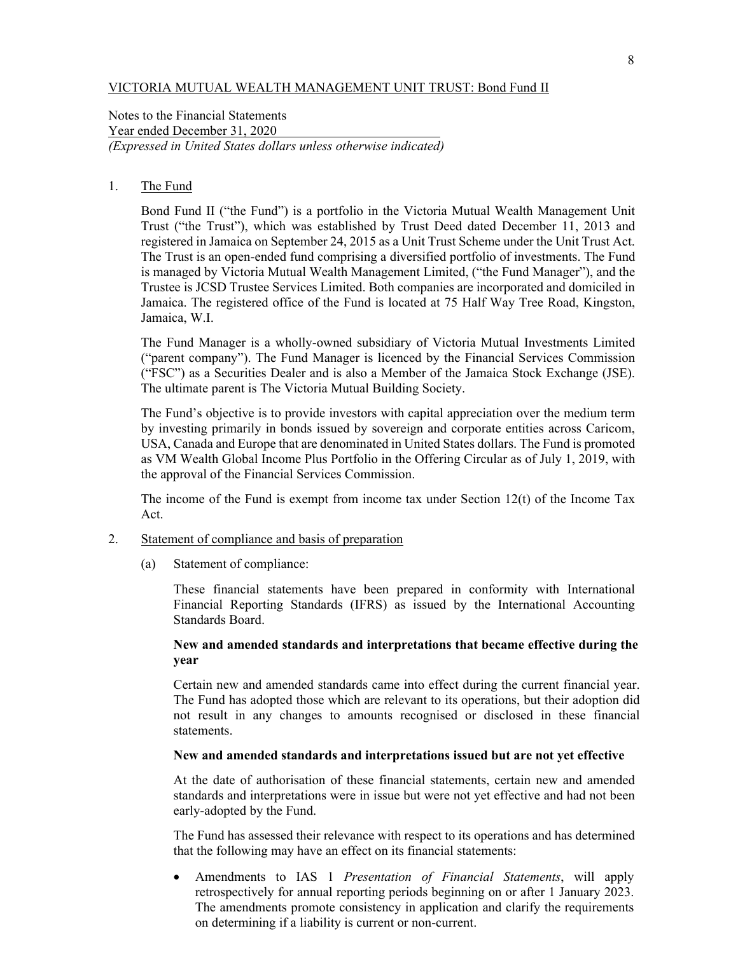Notes to the Financial Statements Year ended December 31, 2020 *(Expressed in United States dollars unless otherwise indicated)* 

## 1. The Fund

 Bond Fund II ("the Fund") is a portfolio in the Victoria Mutual Wealth Management Unit Trust ("the Trust"), which was established by Trust Deed dated December 11, 2013 and registered in Jamaica on September 24, 2015 as a Unit Trust Scheme under the Unit Trust Act. The Trust is an open-ended fund comprising a diversified portfolio of investments. The Fund is managed by Victoria Mutual Wealth Management Limited, ("the Fund Manager"), and the Trustee is JCSD Trustee Services Limited. Both companies are incorporated and domiciled in Jamaica. The registered office of the Fund is located at 75 Half Way Tree Road, Kingston, Jamaica, W.I.

 The Fund Manager is a wholly-owned subsidiary of Victoria Mutual Investments Limited ("parent company"). The Fund Manager is licenced by the Financial Services Commission ("FSC") as a Securities Dealer and is also a Member of the Jamaica Stock Exchange (JSE). The ultimate parent is The Victoria Mutual Building Society.

 The Fund's objective is to provide investors with capital appreciation over the medium term by investing primarily in bonds issued by sovereign and corporate entities across Caricom, USA, Canada and Europe that are denominated in United States dollars. The Fund is promoted as VM Wealth Global Income Plus Portfolio in the Offering Circular as of July 1, 2019, with the approval of the Financial Services Commission.

 The income of the Fund is exempt from income tax under Section 12(t) of the Income Tax Act.

- 2. Statement of compliance and basis of preparation
	- (a) Statement of compliance:

These financial statements have been prepared in conformity with International Financial Reporting Standards (IFRS) as issued by the International Accounting Standards Board.

## **New and amended standards and interpretations that became effective during the year**

 Certain new and amended standards came into effect during the current financial year. The Fund has adopted those which are relevant to its operations, but their adoption did not result in any changes to amounts recognised or disclosed in these financial statements.

## **New and amended standards and interpretations issued but are not yet effective**

 At the date of authorisation of these financial statements, certain new and amended standards and interpretations were in issue but were not yet effective and had not been early-adopted by the Fund.

The Fund has assessed their relevance with respect to its operations and has determined that the following may have an effect on its financial statements:

 Amendments to IAS 1 *Presentation of Financial Statements*, will apply retrospectively for annual reporting periods beginning on or after 1 January 2023. The amendments promote consistency in application and clarify the requirements on determining if a liability is current or non-current.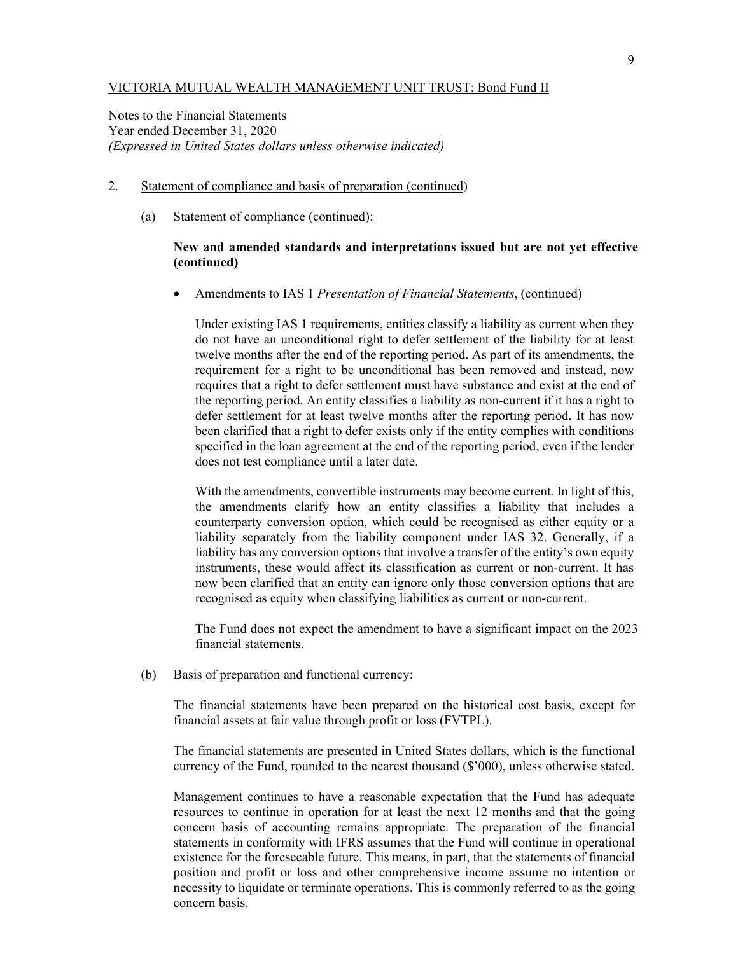Notes to the Financial Statements Year ended December 31, 2020 *(Expressed in United States dollars unless otherwise indicated)* 

- 2. Statement of compliance and basis of preparation (continued)
	- (a) Statement of compliance (continued):

## **New and amended standards and interpretations issued but are not yet effective (continued)**

Amendments to IAS 1 *Presentation of Financial Statements*, (continued)

Under existing IAS 1 requirements, entities classify a liability as current when they do not have an unconditional right to defer settlement of the liability for at least twelve months after the end of the reporting period. As part of its amendments, the requirement for a right to be unconditional has been removed and instead, now requires that a right to defer settlement must have substance and exist at the end of the reporting period. An entity classifies a liability as non-current if it has a right to defer settlement for at least twelve months after the reporting period. It has now been clarified that a right to defer exists only if the entity complies with conditions specified in the loan agreement at the end of the reporting period, even if the lender does not test compliance until a later date.

With the amendments, convertible instruments may become current. In light of this, the amendments clarify how an entity classifies a liability that includes a counterparty conversion option, which could be recognised as either equity or a liability separately from the liability component under IAS 32. Generally, if a liability has any conversion options that involve a transfer of the entity's own equity instruments, these would affect its classification as current or non-current. It has now been clarified that an entity can ignore only those conversion options that are recognised as equity when classifying liabilities as current or non-current.

The Fund does not expect the amendment to have a significant impact on the 2023 financial statements.

(b) Basis of preparation and functional currency:

The financial statements have been prepared on the historical cost basis, except for financial assets at fair value through profit or loss (FVTPL).

The financial statements are presented in United States dollars, which is the functional currency of the Fund, rounded to the nearest thousand (\$'000), unless otherwise stated.

Management continues to have a reasonable expectation that the Fund has adequate resources to continue in operation for at least the next 12 months and that the going concern basis of accounting remains appropriate. The preparation of the financial statements in conformity with IFRS assumes that the Fund will continue in operational existence for the foreseeable future. This means, in part, that the statements of financial position and profit or loss and other comprehensive income assume no intention or necessity to liquidate or terminate operations. This is commonly referred to as the going concern basis.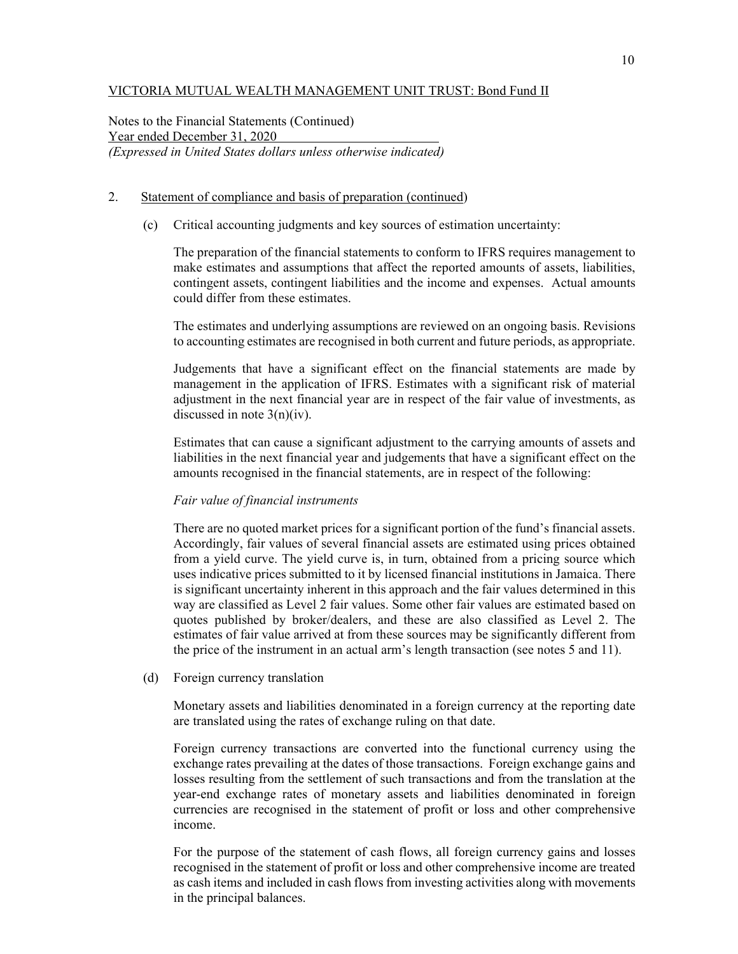Notes to the Financial Statements (Continued) Year ended December 31, 2020 *(Expressed in United States dollars unless otherwise indicated)* 

## 2. Statement of compliance and basis of preparation (continued)

(c) Critical accounting judgments and key sources of estimation uncertainty:

The preparation of the financial statements to conform to IFRS requires management to make estimates and assumptions that affect the reported amounts of assets, liabilities, contingent assets, contingent liabilities and the income and expenses. Actual amounts could differ from these estimates.

 The estimates and underlying assumptions are reviewed on an ongoing basis. Revisions to accounting estimates are recognised in both current and future periods, as appropriate.

 Judgements that have a significant effect on the financial statements are made by management in the application of IFRS. Estimates with a significant risk of material adjustment in the next financial year are in respect of the fair value of investments, as discussed in note 3(n)(iv).

Estimates that can cause a significant adjustment to the carrying amounts of assets and liabilities in the next financial year and judgements that have a significant effect on the amounts recognised in the financial statements, are in respect of the following:

#### *Fair value of financial instruments*

There are no quoted market prices for a significant portion of the fund's financial assets. Accordingly, fair values of several financial assets are estimated using prices obtained from a yield curve. The yield curve is, in turn, obtained from a pricing source which uses indicative prices submitted to it by licensed financial institutions in Jamaica. There is significant uncertainty inherent in this approach and the fair values determined in this way are classified as Level 2 fair values. Some other fair values are estimated based on quotes published by broker/dealers, and these are also classified as Level 2. The estimates of fair value arrived at from these sources may be significantly different from the price of the instrument in an actual arm's length transaction (see notes 5 and 11).

(d) Foreign currency translation

Monetary assets and liabilities denominated in a foreign currency at the reporting date are translated using the rates of exchange ruling on that date.

Foreign currency transactions are converted into the functional currency using the exchange rates prevailing at the dates of those transactions. Foreign exchange gains and losses resulting from the settlement of such transactions and from the translation at the year-end exchange rates of monetary assets and liabilities denominated in foreign currencies are recognised in the statement of profit or loss and other comprehensive income.

For the purpose of the statement of cash flows, all foreign currency gains and losses recognised in the statement of profit or loss and other comprehensive income are treated as cash items and included in cash flows from investing activities along with movements in the principal balances.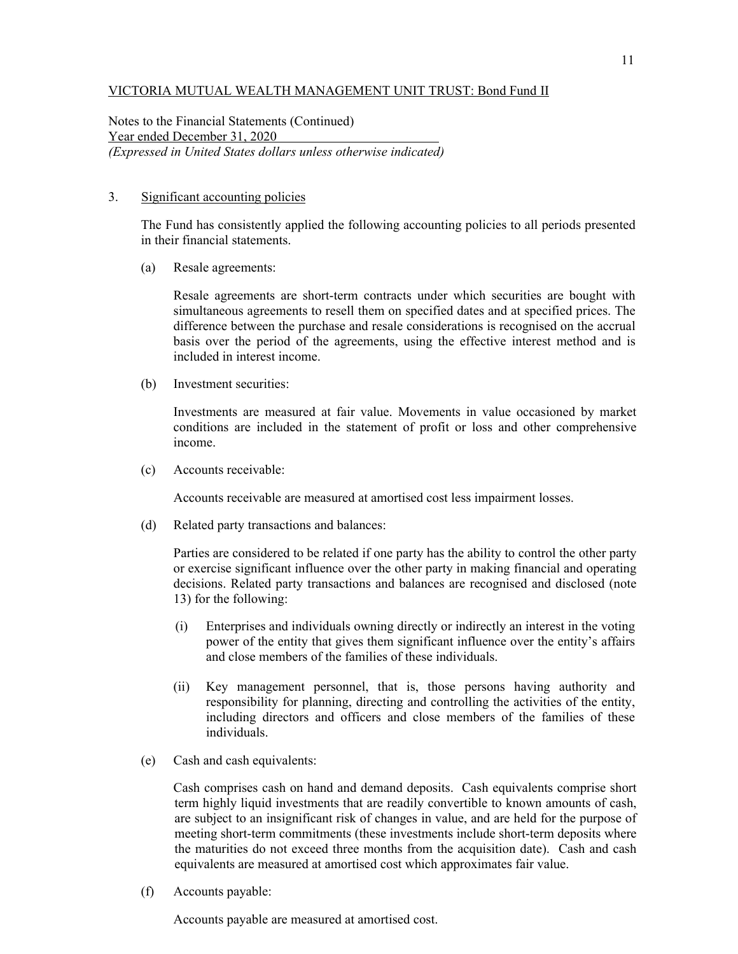Notes to the Financial Statements (Continued) Year ended December 31, 2020 *(Expressed in United States dollars unless otherwise indicated)* 

#### 3. Significant accounting policies

The Fund has consistently applied the following accounting policies to all periods presented in their financial statements.

(a) Resale agreements:

 Resale agreements are short-term contracts under which securities are bought with simultaneous agreements to resell them on specified dates and at specified prices. The difference between the purchase and resale considerations is recognised on the accrual basis over the period of the agreements, using the effective interest method and is included in interest income.

(b) Investment securities:

Investments are measured at fair value. Movements in value occasioned by market conditions are included in the statement of profit or loss and other comprehensive income.

(c) Accounts receivable:

Accounts receivable are measured at amortised cost less impairment losses.

(d) Related party transactions and balances:

Parties are considered to be related if one party has the ability to control the other party or exercise significant influence over the other party in making financial and operating decisions. Related party transactions and balances are recognised and disclosed (note 13) for the following:

- (i) Enterprises and individuals owning directly or indirectly an interest in the voting power of the entity that gives them significant influence over the entity's affairs and close members of the families of these individuals.
- (ii) Key management personnel, that is, those persons having authority and responsibility for planning, directing and controlling the activities of the entity, including directors and officers and close members of the families of these individuals.
- (e) Cash and cash equivalents:

 Cash comprises cash on hand and demand deposits. Cash equivalents comprise short term highly liquid investments that are readily convertible to known amounts of cash, are subject to an insignificant risk of changes in value, and are held for the purpose of meeting short-term commitments (these investments include short-term deposits where the maturities do not exceed three months from the acquisition date). Cash and cash equivalents are measured at amortised cost which approximates fair value.

(f) Accounts payable:

Accounts payable are measured at amortised cost.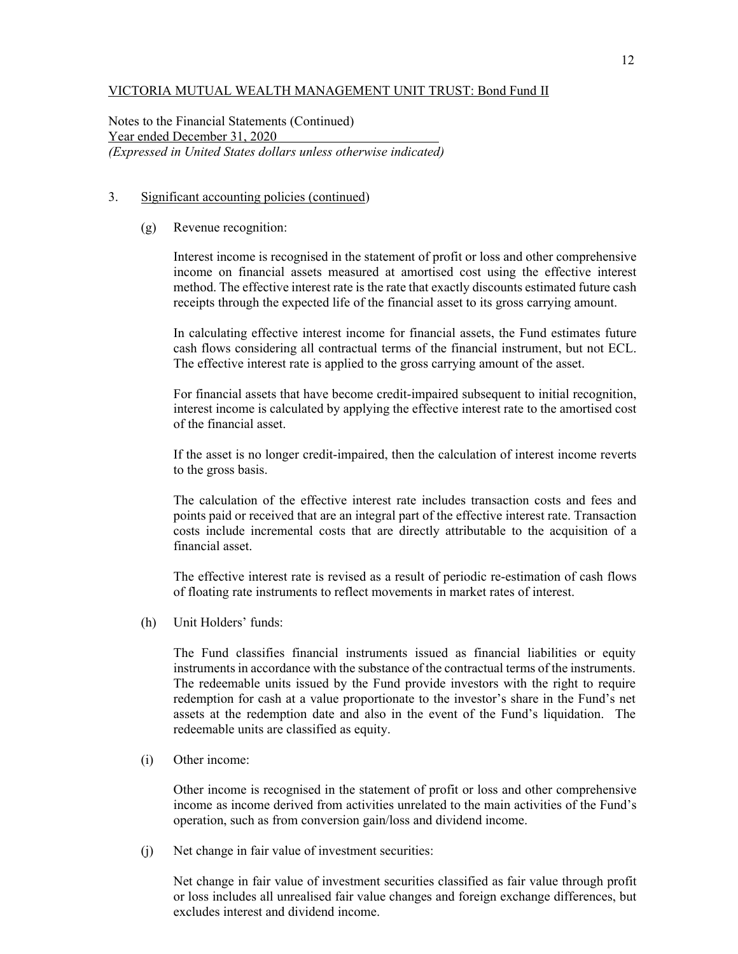Notes to the Financial Statements (Continued) Year ended December 31, 2020 *(Expressed in United States dollars unless otherwise indicated)* 

### 3. Significant accounting policies (continued)

(g) Revenue recognition:

Interest income is recognised in the statement of profit or loss and other comprehensive income on financial assets measured at amortised cost using the effective interest method. The effective interest rate is the rate that exactly discounts estimated future cash receipts through the expected life of the financial asset to its gross carrying amount.

In calculating effective interest income for financial assets, the Fund estimates future cash flows considering all contractual terms of the financial instrument, but not ECL. The effective interest rate is applied to the gross carrying amount of the asset.

For financial assets that have become credit-impaired subsequent to initial recognition, interest income is calculated by applying the effective interest rate to the amortised cost of the financial asset.

If the asset is no longer credit-impaired, then the calculation of interest income reverts to the gross basis.

The calculation of the effective interest rate includes transaction costs and fees and points paid or received that are an integral part of the effective interest rate. Transaction costs include incremental costs that are directly attributable to the acquisition of a financial asset.

The effective interest rate is revised as a result of periodic re-estimation of cash flows of floating rate instruments to reflect movements in market rates of interest.

(h) Unit Holders' funds:

The Fund classifies financial instruments issued as financial liabilities or equity instruments in accordance with the substance of the contractual terms of the instruments. The redeemable units issued by the Fund provide investors with the right to require redemption for cash at a value proportionate to the investor's share in the Fund's net assets at the redemption date and also in the event of the Fund's liquidation. The redeemable units are classified as equity.

(i) Other income:

Other income is recognised in the statement of profit or loss and other comprehensive income as income derived from activities unrelated to the main activities of the Fund's operation, such as from conversion gain/loss and dividend income.

(j) Net change in fair value of investment securities:

Net change in fair value of investment securities classified as fair value through profit or loss includes all unrealised fair value changes and foreign exchange differences, but excludes interest and dividend income.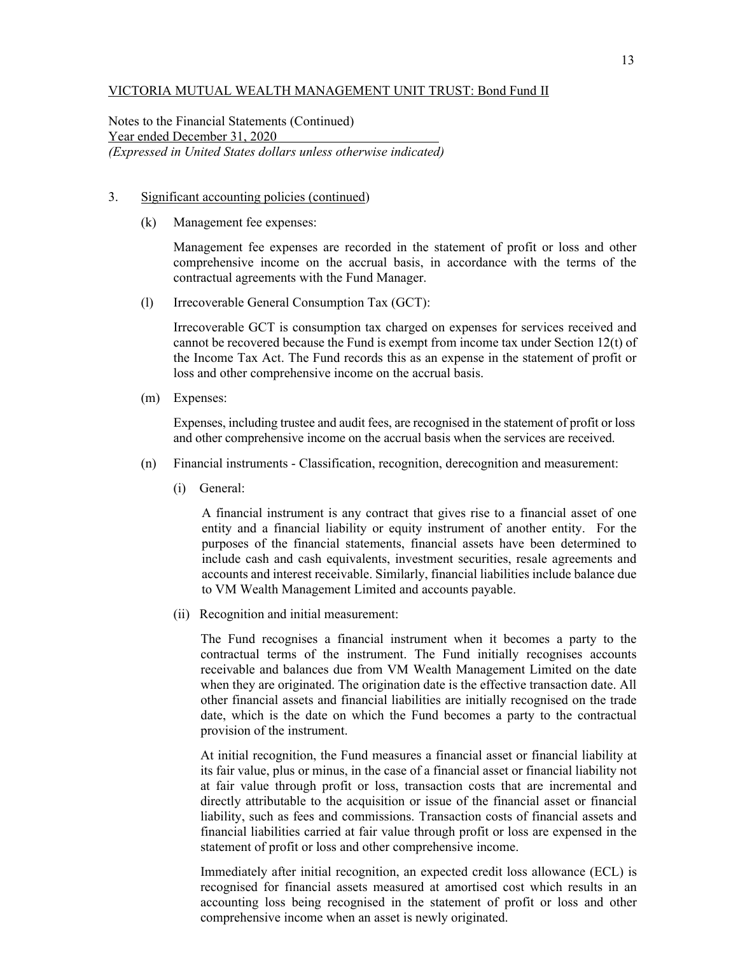Notes to the Financial Statements (Continued) Year ended December 31, 2020 *(Expressed in United States dollars unless otherwise indicated)* 

- 3. Significant accounting policies (continued)
	- (k) Management fee expenses:

Management fee expenses are recorded in the statement of profit or loss and other comprehensive income on the accrual basis, in accordance with the terms of the contractual agreements with the Fund Manager.

(l) Irrecoverable General Consumption Tax (GCT):

Irrecoverable GCT is consumption tax charged on expenses for services received and cannot be recovered because the Fund is exempt from income tax under Section 12(t) of the Income Tax Act. The Fund records this as an expense in the statement of profit or loss and other comprehensive income on the accrual basis.

(m) Expenses:

Expenses, including trustee and audit fees, are recognised in the statement of profit or loss and other comprehensive income on the accrual basis when the services are received.

- (n) Financial instruments Classification, recognition, derecognition and measurement:
	- (i) General:

A financial instrument is any contract that gives rise to a financial asset of one entity and a financial liability or equity instrument of another entity. For the purposes of the financial statements, financial assets have been determined to include cash and cash equivalents, investment securities, resale agreements and accounts and interest receivable. Similarly, financial liabilities include balance due to VM Wealth Management Limited and accounts payable.

(ii) Recognition and initial measurement:

The Fund recognises a financial instrument when it becomes a party to the contractual terms of the instrument. The Fund initially recognises accounts receivable and balances due from VM Wealth Management Limited on the date when they are originated. The origination date is the effective transaction date. All other financial assets and financial liabilities are initially recognised on the trade date, which is the date on which the Fund becomes a party to the contractual provision of the instrument.

At initial recognition, the Fund measures a financial asset or financial liability at its fair value, plus or minus, in the case of a financial asset or financial liability not at fair value through profit or loss, transaction costs that are incremental and directly attributable to the acquisition or issue of the financial asset or financial liability, such as fees and commissions. Transaction costs of financial assets and financial liabilities carried at fair value through profit or loss are expensed in the statement of profit or loss and other comprehensive income.

Immediately after initial recognition, an expected credit loss allowance (ECL) is recognised for financial assets measured at amortised cost which results in an accounting loss being recognised in the statement of profit or loss and other comprehensive income when an asset is newly originated.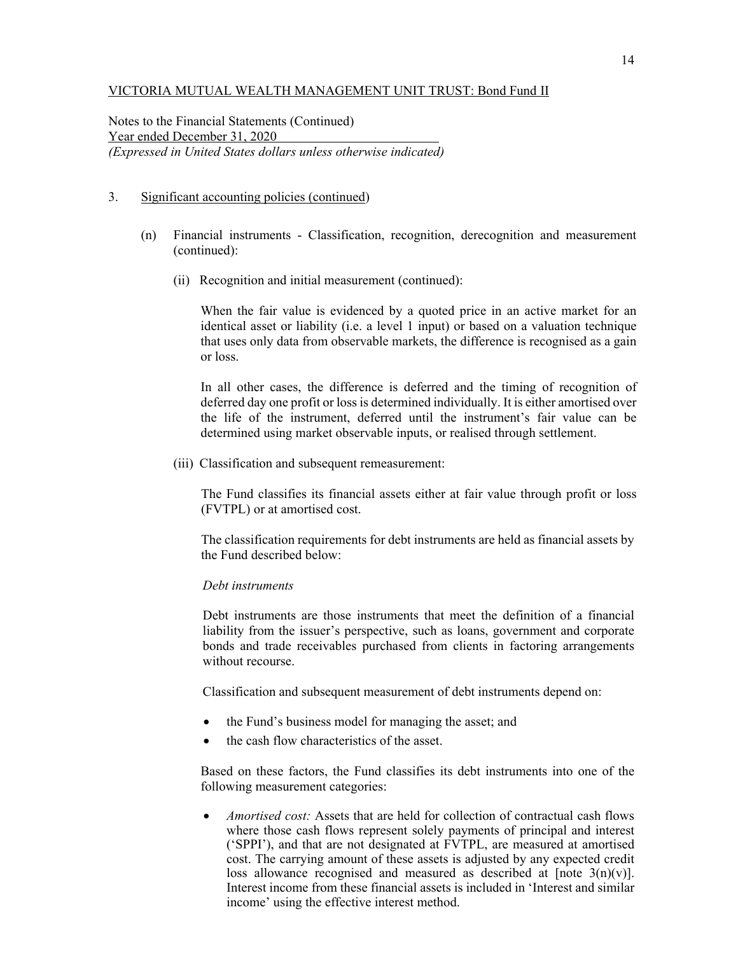Notes to the Financial Statements (Continued) Year ended December 31, 2020 *(Expressed in United States dollars unless otherwise indicated)* 

### 3. Significant accounting policies (continued)

- (n) Financial instruments Classification, recognition, derecognition and measurement (continued):
	- (ii) Recognition and initial measurement (continued):

When the fair value is evidenced by a quoted price in an active market for an identical asset or liability (i.e. a level 1 input) or based on a valuation technique that uses only data from observable markets, the difference is recognised as a gain or loss.

In all other cases, the difference is deferred and the timing of recognition of deferred day one profit or loss is determined individually. It is either amortised over the life of the instrument, deferred until the instrument's fair value can be determined using market observable inputs, or realised through settlement.

(iii) Classification and subsequent remeasurement:

The Fund classifies its financial assets either at fair value through profit or loss (FVTPL) or at amortised cost.

The classification requirements for debt instruments are held as financial assets by the Fund described below:

#### *Debt instruments*

Debt instruments are those instruments that meet the definition of a financial liability from the issuer's perspective, such as loans, government and corporate bonds and trade receivables purchased from clients in factoring arrangements without recourse.

Classification and subsequent measurement of debt instruments depend on:

- the Fund's business model for managing the asset; and
- the cash flow characteristics of the asset.

Based on these factors, the Fund classifies its debt instruments into one of the following measurement categories:

 *Amortised cost:* Assets that are held for collection of contractual cash flows where those cash flows represent solely payments of principal and interest ('SPPI'), and that are not designated at FVTPL, are measured at amortised cost. The carrying amount of these assets is adjusted by any expected credit loss allowance recognised and measured as described at  $[note 3(n)(v)].$ Interest income from these financial assets is included in 'Interest and similar income' using the effective interest method.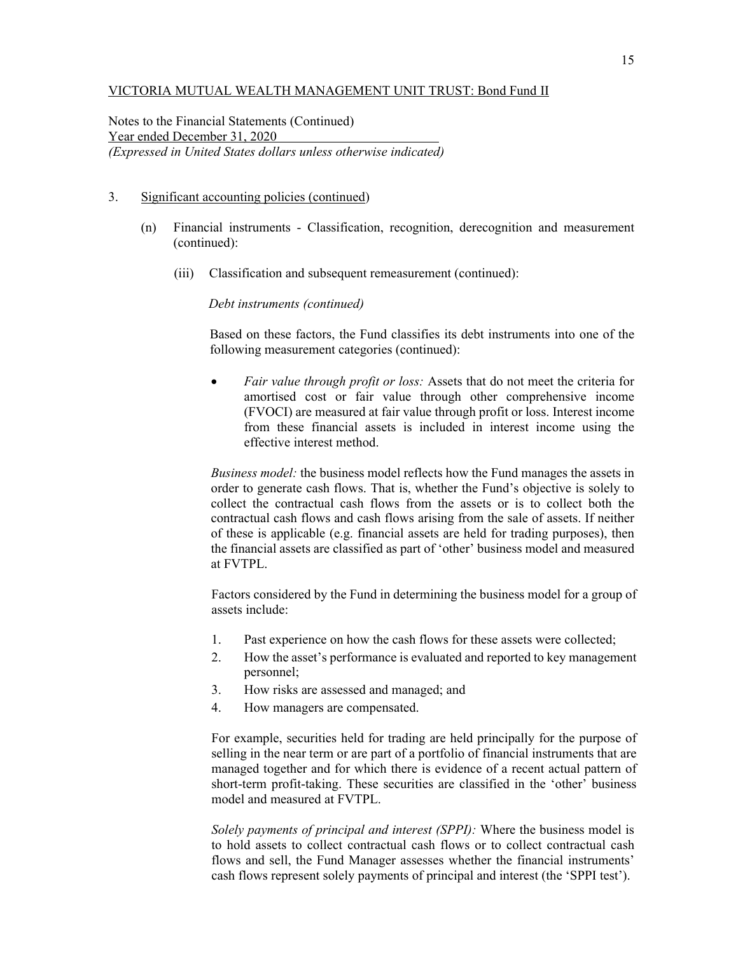Notes to the Financial Statements (Continued) Year ended December 31, 2020 *(Expressed in United States dollars unless otherwise indicated)* 

#### 3. Significant accounting policies (continued)

- (n) Financial instruments Classification, recognition, derecognition and measurement (continued):
	- (iii) Classification and subsequent remeasurement (continued):

*Debt instruments (continued)* 

Based on these factors, the Fund classifies its debt instruments into one of the following measurement categories (continued):

 *Fair value through profit or loss:* Assets that do not meet the criteria for amortised cost or fair value through other comprehensive income (FVOCI) are measured at fair value through profit or loss. Interest income from these financial assets is included in interest income using the effective interest method.

*Business model:* the business model reflects how the Fund manages the assets in order to generate cash flows. That is, whether the Fund's objective is solely to collect the contractual cash flows from the assets or is to collect both the contractual cash flows and cash flows arising from the sale of assets. If neither of these is applicable (e.g. financial assets are held for trading purposes), then the financial assets are classified as part of 'other' business model and measured at FVTPL.

Factors considered by the Fund in determining the business model for a group of assets include:

- 1. Past experience on how the cash flows for these assets were collected;
- 2. How the asset's performance is evaluated and reported to key management personnel;
- 3. How risks are assessed and managed; and
- 4. How managers are compensated.

For example, securities held for trading are held principally for the purpose of selling in the near term or are part of a portfolio of financial instruments that are managed together and for which there is evidence of a recent actual pattern of short-term profit-taking. These securities are classified in the 'other' business model and measured at FVTPL.

*Solely payments of principal and interest (SPPI):* Where the business model is to hold assets to collect contractual cash flows or to collect contractual cash flows and sell, the Fund Manager assesses whether the financial instruments' cash flows represent solely payments of principal and interest (the 'SPPI test').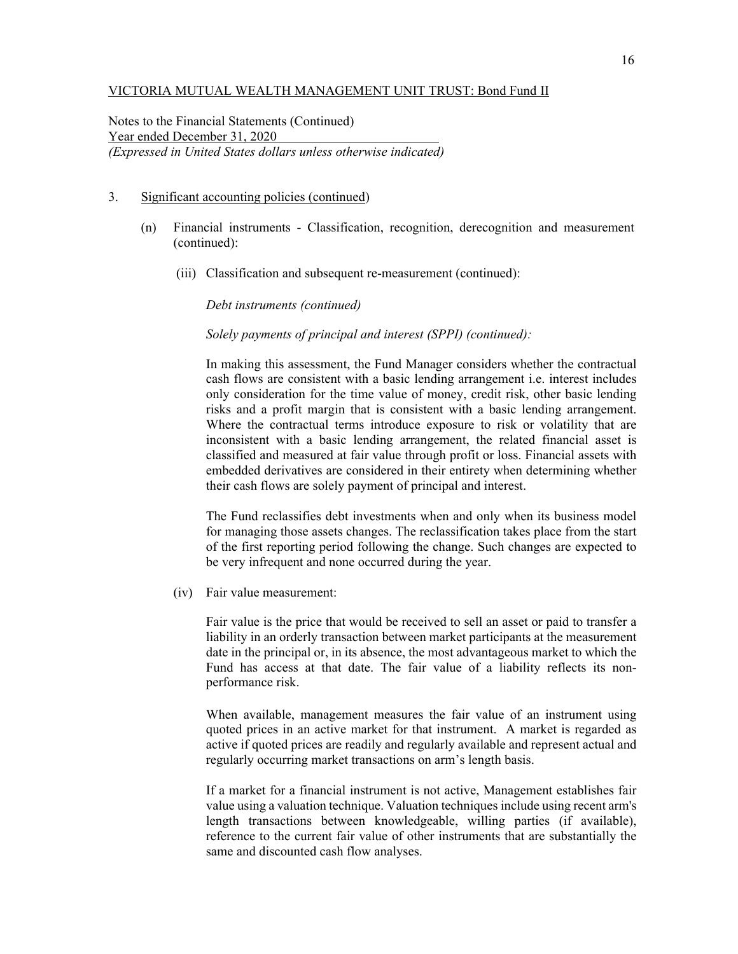Notes to the Financial Statements (Continued) Year ended December 31, 2020 *(Expressed in United States dollars unless otherwise indicated)* 

#### 3. Significant accounting policies (continued)

- (n) Financial instruments Classification, recognition, derecognition and measurement (continued):
	- (iii) Classification and subsequent re-measurement (continued):

*Debt instruments (continued)* 

*Solely payments of principal and interest (SPPI) (continued):* 

In making this assessment, the Fund Manager considers whether the contractual cash flows are consistent with a basic lending arrangement i.e. interest includes only consideration for the time value of money, credit risk, other basic lending risks and a profit margin that is consistent with a basic lending arrangement. Where the contractual terms introduce exposure to risk or volatility that are inconsistent with a basic lending arrangement, the related financial asset is classified and measured at fair value through profit or loss. Financial assets with embedded derivatives are considered in their entirety when determining whether their cash flows are solely payment of principal and interest.

The Fund reclassifies debt investments when and only when its business model for managing those assets changes. The reclassification takes place from the start of the first reporting period following the change. Such changes are expected to be very infrequent and none occurred during the year.

(iv) Fair value measurement:

 Fair value is the price that would be received to sell an asset or paid to transfer a liability in an orderly transaction between market participants at the measurement date in the principal or, in its absence, the most advantageous market to which the Fund has access at that date. The fair value of a liability reflects its nonperformance risk.

When available, management measures the fair value of an instrument using quoted prices in an active market for that instrument. A market is regarded as active if quoted prices are readily and regularly available and represent actual and regularly occurring market transactions on arm's length basis.

If a market for a financial instrument is not active, Management establishes fair value using a valuation technique. Valuation techniques include using recent arm's length transactions between knowledgeable, willing parties (if available), reference to the current fair value of other instruments that are substantially the same and discounted cash flow analyses.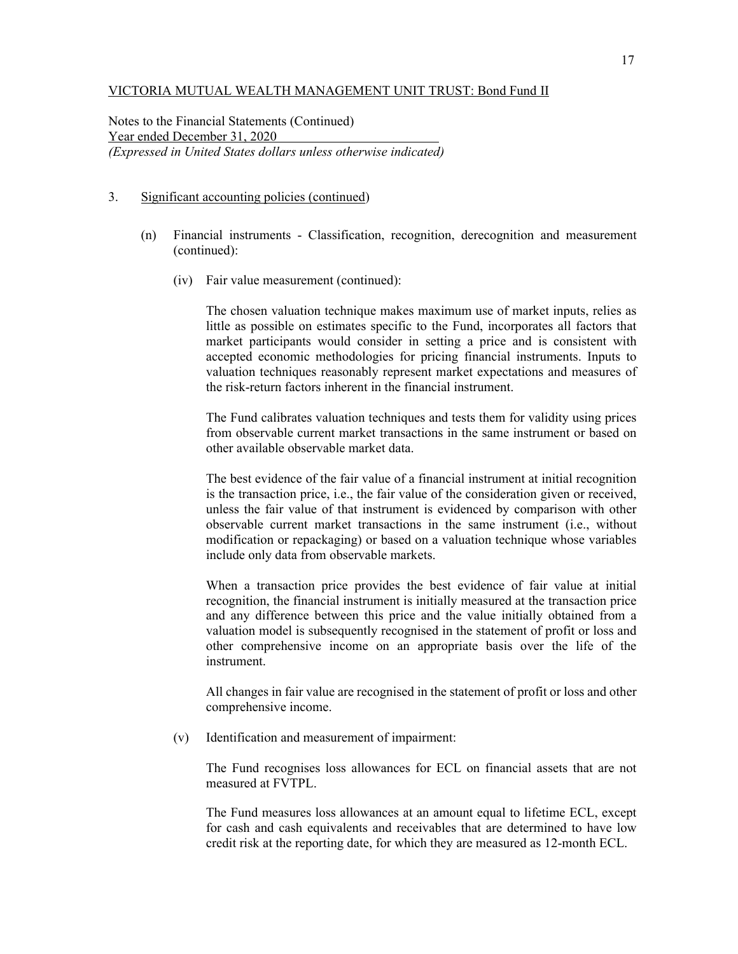Notes to the Financial Statements (Continued) Year ended December 31, 2020 *(Expressed in United States dollars unless otherwise indicated)* 

### 3. Significant accounting policies (continued)

- (n) Financial instruments Classification, recognition, derecognition and measurement (continued):
	- (iv) Fair value measurement (continued):

The chosen valuation technique makes maximum use of market inputs, relies as little as possible on estimates specific to the Fund, incorporates all factors that market participants would consider in setting a price and is consistent with accepted economic methodologies for pricing financial instruments. Inputs to valuation techniques reasonably represent market expectations and measures of the risk-return factors inherent in the financial instrument.

The Fund calibrates valuation techniques and tests them for validity using prices from observable current market transactions in the same instrument or based on other available observable market data.

The best evidence of the fair value of a financial instrument at initial recognition is the transaction price, i.e., the fair value of the consideration given or received, unless the fair value of that instrument is evidenced by comparison with other observable current market transactions in the same instrument (i.e., without modification or repackaging) or based on a valuation technique whose variables include only data from observable markets.

When a transaction price provides the best evidence of fair value at initial recognition, the financial instrument is initially measured at the transaction price and any difference between this price and the value initially obtained from a valuation model is subsequently recognised in the statement of profit or loss and other comprehensive income on an appropriate basis over the life of the instrument.

All changes in fair value are recognised in the statement of profit or loss and other comprehensive income.

(v) Identification and measurement of impairment:

The Fund recognises loss allowances for ECL on financial assets that are not measured at FVTPL.

The Fund measures loss allowances at an amount equal to lifetime ECL, except for cash and cash equivalents and receivables that are determined to have low credit risk at the reporting date, for which they are measured as 12-month ECL.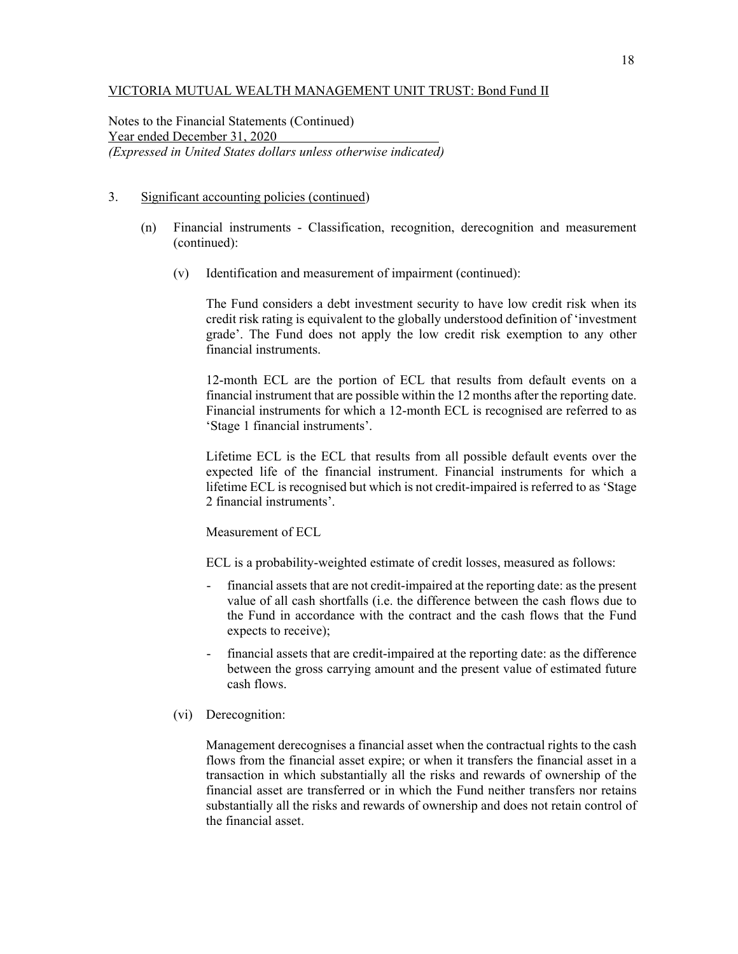Notes to the Financial Statements (Continued) Year ended December 31, 2020 *(Expressed in United States dollars unless otherwise indicated)* 

## 3. Significant accounting policies (continued)

- (n) Financial instruments Classification, recognition, derecognition and measurement (continued):
	- (v) Identification and measurement of impairment (continued):

The Fund considers a debt investment security to have low credit risk when its credit risk rating is equivalent to the globally understood definition of 'investment grade'. The Fund does not apply the low credit risk exemption to any other financial instruments.

12-month ECL are the portion of ECL that results from default events on a financial instrument that are possible within the 12 months after the reporting date. Financial instruments for which a 12-month ECL is recognised are referred to as 'Stage 1 financial instruments'.

Lifetime ECL is the ECL that results from all possible default events over the expected life of the financial instrument. Financial instruments for which a lifetime ECL is recognised but which is not credit-impaired is referred to as 'Stage 2 financial instruments'.

Measurement of ECL

ECL is a probability-weighted estimate of credit losses, measured as follows:

- financial assets that are not credit-impaired at the reporting date: as the present value of all cash shortfalls (i.e. the difference between the cash flows due to the Fund in accordance with the contract and the cash flows that the Fund expects to receive);
- financial assets that are credit-impaired at the reporting date: as the difference between the gross carrying amount and the present value of estimated future cash flows.
- (vi) Derecognition:

Management derecognises a financial asset when the contractual rights to the cash flows from the financial asset expire; or when it transfers the financial asset in a transaction in which substantially all the risks and rewards of ownership of the financial asset are transferred or in which the Fund neither transfers nor retains substantially all the risks and rewards of ownership and does not retain control of the financial asset.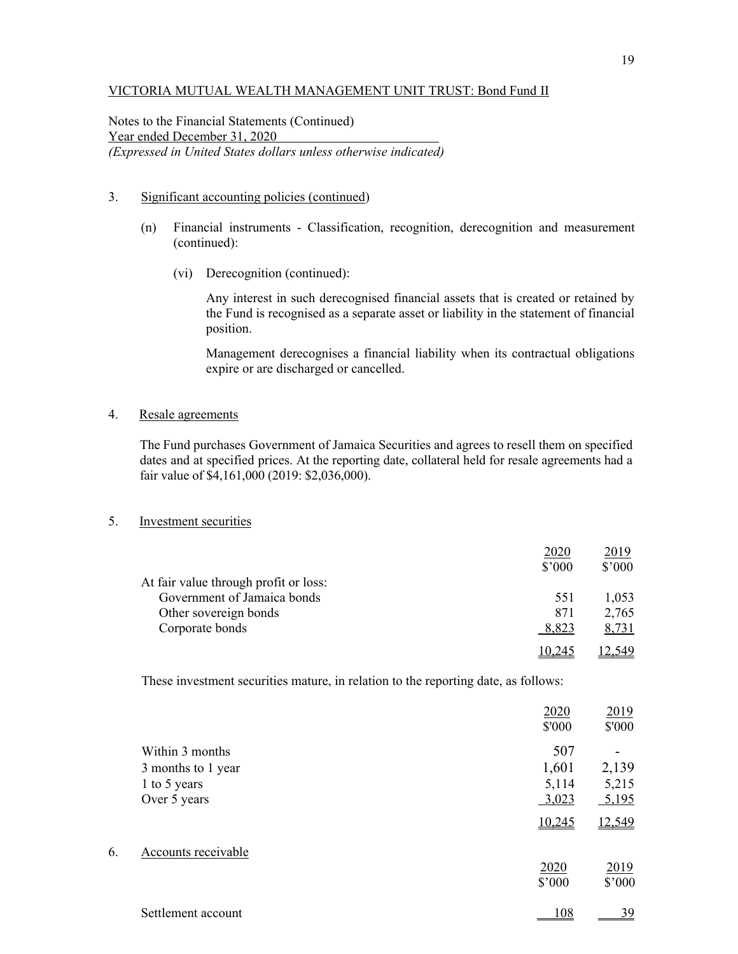Notes to the Financial Statements (Continued) Year ended December 31, 2020 *(Expressed in United States dollars unless otherwise indicated)* 

## 3. Significant accounting policies (continued)

- (n) Financial instruments Classification, recognition, derecognition and measurement (continued):
	- (vi) Derecognition (continued):

Any interest in such derecognised financial assets that is created or retained by the Fund is recognised as a separate asset or liability in the statement of financial position.

Management derecognises a financial liability when its contractual obligations expire or are discharged or cancelled.

## 4. Resale agreements

The Fund purchases Government of Jamaica Securities and agrees to resell them on specified dates and at specified prices. At the reporting date, collateral held for resale agreements had a fair value of \$4,161,000 (2019: \$2,036,000).

### 5. Investment securities

|                                       | 2020   | 2019   |
|---------------------------------------|--------|--------|
|                                       | \$'000 | \$'000 |
| At fair value through profit or loss: |        |        |
| Government of Jamaica bonds           | 551    | 1,053  |
| Other sovereign bonds                 | 871    | 2,765  |
| Corporate bonds                       | 8,823  | 8,731  |
|                                       |        |        |

These investment securities mature, in relation to the reporting date, as follows:

|    |                     | 2020<br>\$'000 | 2019<br>\$'000 |
|----|---------------------|----------------|----------------|
|    | Within 3 months     | 507            |                |
|    | 3 months to 1 year  | 1,601          | 2,139          |
|    | 1 to 5 years        | 5,114          | 5,215          |
|    | Over 5 years        | 3,023          | 5,195          |
|    |                     | 10,245         | 12,549         |
| 6. | Accounts receivable |                |                |
|    |                     | 2020           | 2019           |
|    |                     | \$'000         | \$'000         |
|    | Settlement account  | 108            | 39             |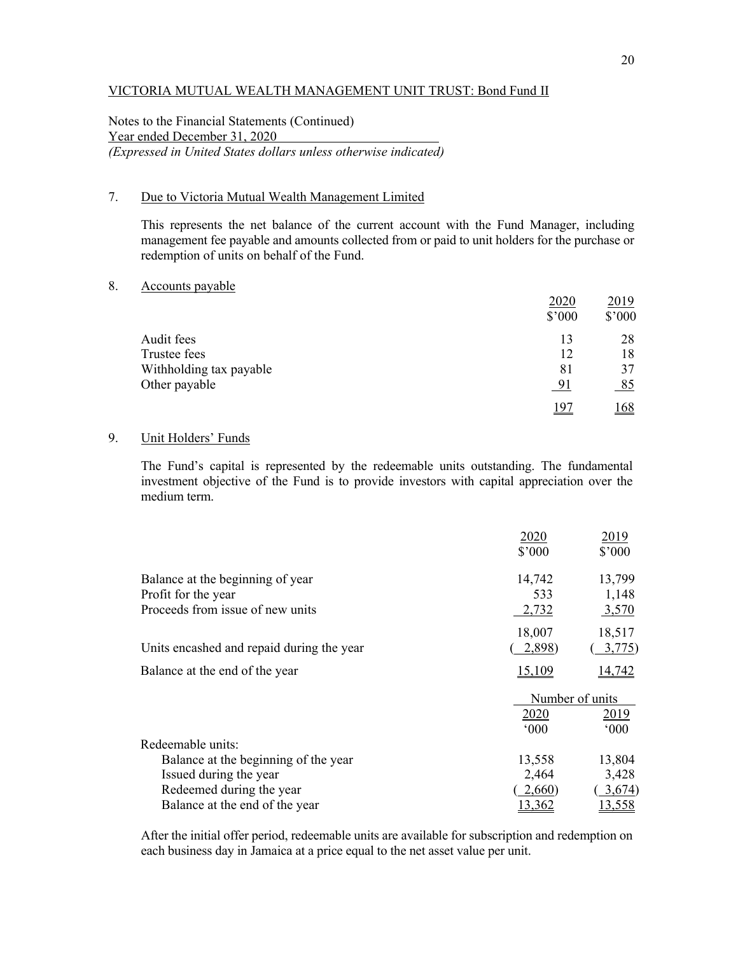Notes to the Financial Statements (Continued) Year ended December 31, 2020 *(Expressed in United States dollars unless otherwise indicated)* 

## 7. Due to Victoria Mutual Wealth Management Limited

This represents the net balance of the current account with the Fund Manager, including management fee payable and amounts collected from or paid to unit holders for the purchase or redemption of units on behalf of the Fund.

## 8. Accounts payable

|                         | 2020   | 2019   |
|-------------------------|--------|--------|
|                         | \$'000 | \$'000 |
| Audit fees              | 13     | 28     |
| Trustee fees            | 12     | 18     |
| Withholding tax payable | 81     | 37     |
| Other payable           | 91     | 85     |
|                         | 197    | 68     |

# 9. Unit Holders' Funds

The Fund's capital is represented by the redeemable units outstanding. The fundamental investment objective of the Fund is to provide investors with capital appreciation over the medium term.

|                                           | 2020            | 2019            |
|-------------------------------------------|-----------------|-----------------|
|                                           | $$^{\prime}000$ | \$3000          |
| Balance at the beginning of year          | 14,742          | 13,799          |
| Profit for the year                       | 533             | 1,148           |
| Proceeds from issue of new units          | 2,732           | <u>3,570</u>    |
|                                           | 18,007          | 18,517          |
| Units encashed and repaid during the year | 2,898)          | 3,775)          |
| Balance at the end of the year            | 15,109          | <u>14,742</u>   |
|                                           |                 | Number of units |
|                                           | 2020            | 2019            |
|                                           | $000*$          | $000*$          |
| Redeemable units:                         |                 |                 |
| Balance at the beginning of the year      | 13,558          | 13,804          |
| Issued during the year                    | 2,464           | 3,428           |
| Redeemed during the year                  | 2,660           | 3,674)          |
| Balance at the end of the year            | 13,362          | <u>13,558</u>   |

After the initial offer period, redeemable units are available for subscription and redemption on each business day in Jamaica at a price equal to the net asset value per unit.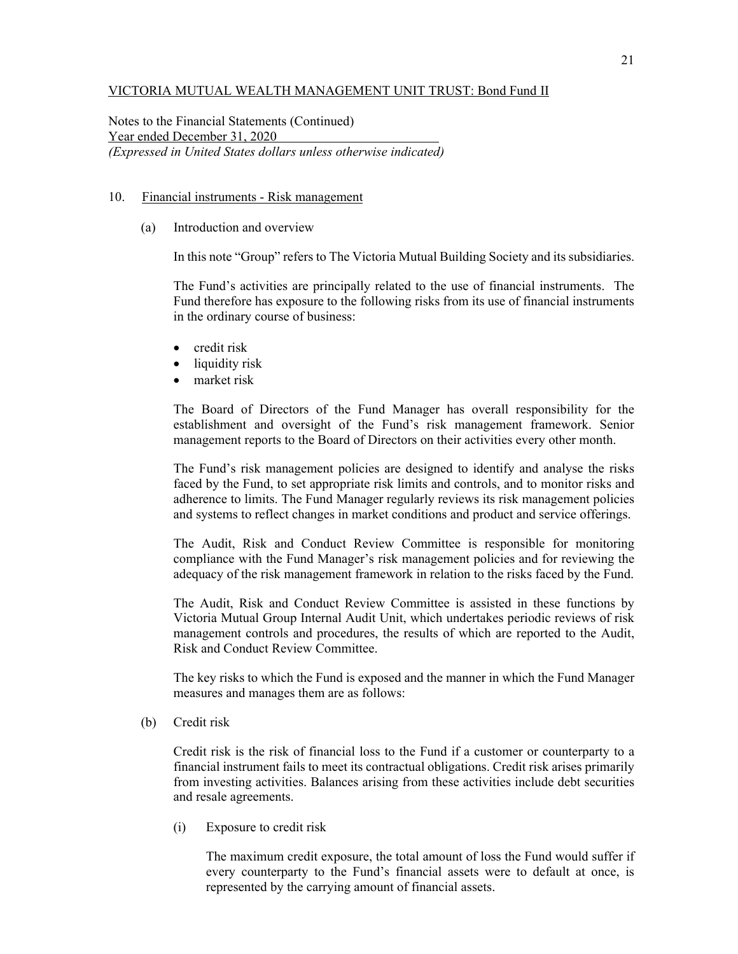Notes to the Financial Statements (Continued) Year ended December 31, 2020 *(Expressed in United States dollars unless otherwise indicated)* 

#### 10. Financial instruments - Risk management

(a) Introduction and overview

In this note "Group" refers to The Victoria Mutual Building Society and its subsidiaries.

The Fund's activities are principally related to the use of financial instruments. The Fund therefore has exposure to the following risks from its use of financial instruments in the ordinary course of business:

- credit risk
- liquidity risk
- market risk

The Board of Directors of the Fund Manager has overall responsibility for the establishment and oversight of the Fund's risk management framework. Senior management reports to the Board of Directors on their activities every other month.

The Fund's risk management policies are designed to identify and analyse the risks faced by the Fund, to set appropriate risk limits and controls, and to monitor risks and adherence to limits. The Fund Manager regularly reviews its risk management policies and systems to reflect changes in market conditions and product and service offerings.

The Audit, Risk and Conduct Review Committee is responsible for monitoring compliance with the Fund Manager's risk management policies and for reviewing the adequacy of the risk management framework in relation to the risks faced by the Fund.

The Audit, Risk and Conduct Review Committee is assisted in these functions by Victoria Mutual Group Internal Audit Unit, which undertakes periodic reviews of risk management controls and procedures, the results of which are reported to the Audit, Risk and Conduct Review Committee.

The key risks to which the Fund is exposed and the manner in which the Fund Manager measures and manages them are as follows:

(b) Credit risk

Credit risk is the risk of financial loss to the Fund if a customer or counterparty to a financial instrument fails to meet its contractual obligations. Credit risk arises primarily from investing activities. Balances arising from these activities include debt securities and resale agreements.

(i) Exposure to credit risk

The maximum credit exposure, the total amount of loss the Fund would suffer if every counterparty to the Fund's financial assets were to default at once, is represented by the carrying amount of financial assets.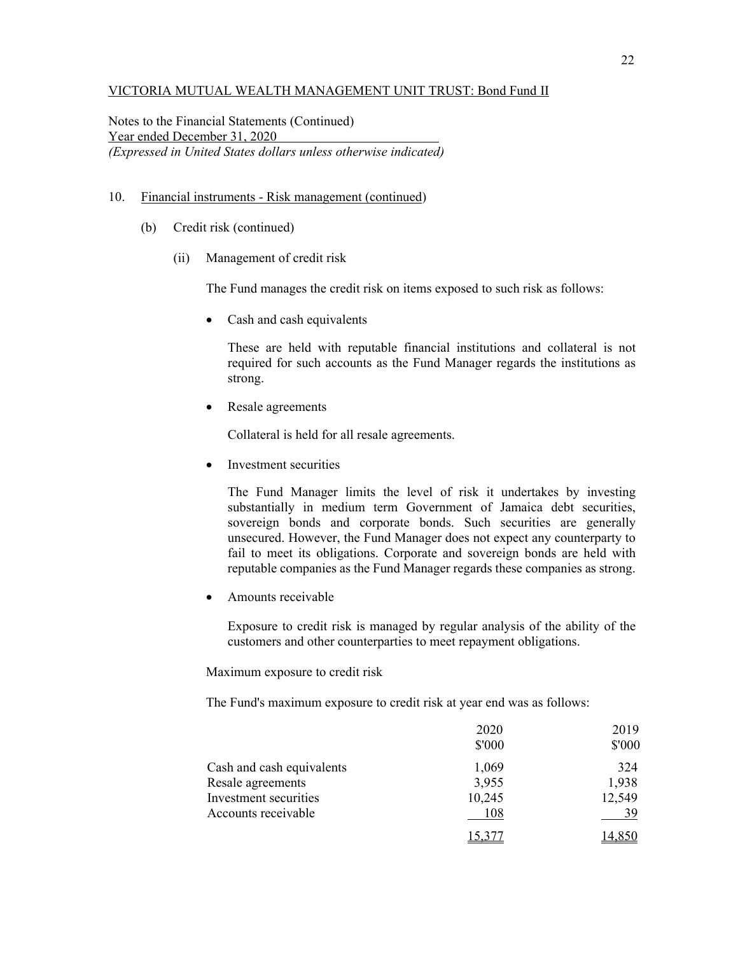Notes to the Financial Statements (Continued) Year ended December 31, 2020 *(Expressed in United States dollars unless otherwise indicated)* 

#### 10. Financial instruments - Risk management (continued)

- (b) Credit risk (continued)
	- (ii) Management of credit risk

The Fund manages the credit risk on items exposed to such risk as follows:

• Cash and cash equivalents

 These are held with reputable financial institutions and collateral is not required for such accounts as the Fund Manager regards the institutions as strong.

• Resale agreements

Collateral is held for all resale agreements.

• Investment securities

 The Fund Manager limits the level of risk it undertakes by investing substantially in medium term Government of Jamaica debt securities, sovereign bonds and corporate bonds. Such securities are generally unsecured. However, the Fund Manager does not expect any counterparty to fail to meet its obligations. Corporate and sovereign bonds are held with reputable companies as the Fund Manager regards these companies as strong.

Amounts receivable

 Exposure to credit risk is managed by regular analysis of the ability of the customers and other counterparties to meet repayment obligations.

Maximum exposure to credit risk

The Fund's maximum exposure to credit risk at year end was as follows:

|                           | 2020<br>\$'000 | 2019<br>\$'000 |
|---------------------------|----------------|----------------|
| Cash and cash equivalents | 1,069          | 324            |
| Resale agreements         | 3,955          | 1,938          |
| Investment securities     | 10,245         | 12,549         |
| Accounts receivable       | 108            |                |
|                           |                |                |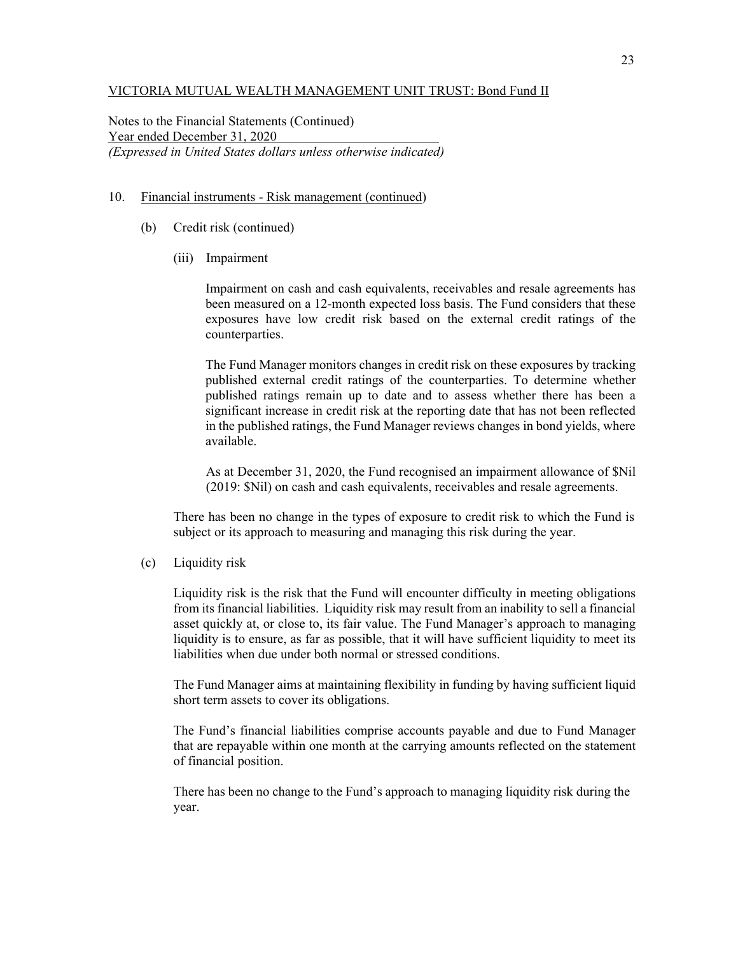Notes to the Financial Statements (Continued) Year ended December 31, 2020 *(Expressed in United States dollars unless otherwise indicated)* 

#### 10. Financial instruments - Risk management (continued)

- (b) Credit risk (continued)
	- (iii) Impairment

Impairment on cash and cash equivalents, receivables and resale agreements has been measured on a 12-month expected loss basis. The Fund considers that these exposures have low credit risk based on the external credit ratings of the counterparties.

The Fund Manager monitors changes in credit risk on these exposures by tracking published external credit ratings of the counterparties. To determine whether published ratings remain up to date and to assess whether there has been a significant increase in credit risk at the reporting date that has not been reflected in the published ratings, the Fund Manager reviews changes in bond yields, where available.

As at December 31, 2020, the Fund recognised an impairment allowance of \$Nil (2019: \$Nil) on cash and cash equivalents, receivables and resale agreements.

There has been no change in the types of exposure to credit risk to which the Fund is subject or its approach to measuring and managing this risk during the year.

(c) Liquidity risk

Liquidity risk is the risk that the Fund will encounter difficulty in meeting obligations from its financial liabilities. Liquidity risk may result from an inability to sell a financial asset quickly at, or close to, its fair value. The Fund Manager's approach to managing liquidity is to ensure, as far as possible, that it will have sufficient liquidity to meet its liabilities when due under both normal or stressed conditions.

The Fund Manager aims at maintaining flexibility in funding by having sufficient liquid short term assets to cover its obligations.

The Fund's financial liabilities comprise accounts payable and due to Fund Manager that are repayable within one month at the carrying amounts reflected on the statement of financial position.

There has been no change to the Fund's approach to managing liquidity risk during the year.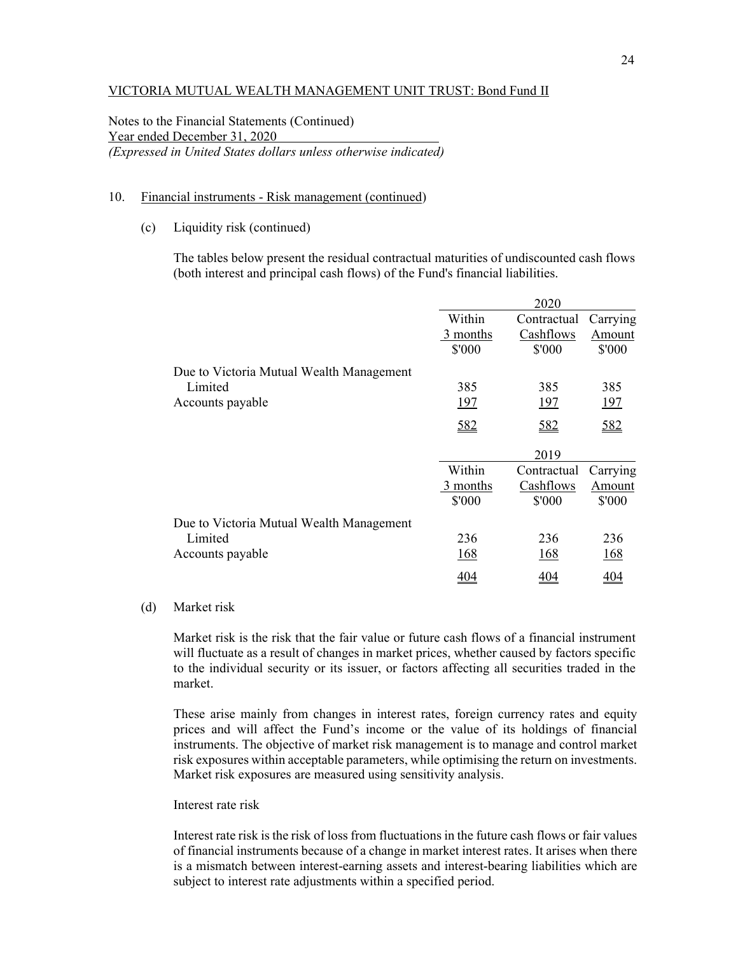Notes to the Financial Statements (Continued) Year ended December 31, 2020 *(Expressed in United States dollars unless otherwise indicated)* 

#### 10. Financial instruments - Risk management (continued)

(c) Liquidity risk (continued)

The tables below present the residual contractual maturities of undiscounted cash flows (both interest and principal cash flows) of the Fund's financial liabilities.

|                                          |            | 2020        |            |
|------------------------------------------|------------|-------------|------------|
|                                          | Within     | Contractual | Carrying   |
|                                          | 3 months   | Cashflows   | Amount     |
|                                          | \$'000     | \$'000      | \$'000     |
| Due to Victoria Mutual Wealth Management |            |             |            |
| Limited                                  | 385        | 385         | 385        |
| Accounts payable                         | <u>197</u> | 197         | <u>197</u> |
|                                          | 582        | 582         | 582        |
|                                          |            | 2019        |            |
|                                          | Within     | Contractual | Carrying   |
|                                          | 3 months   | Cashflows   | Amount     |
|                                          | \$'000     | \$'000      | \$'000     |
| Due to Victoria Mutual Wealth Management |            |             |            |
| Limited                                  | 236        | 236         | 236        |
| Accounts payable                         | 168        | 168         | 168        |
|                                          | 404        | 404         | 404        |

#### (d) Market risk

Market risk is the risk that the fair value or future cash flows of a financial instrument will fluctuate as a result of changes in market prices, whether caused by factors specific to the individual security or its issuer, or factors affecting all securities traded in the market.

These arise mainly from changes in interest rates, foreign currency rates and equity prices and will affect the Fund's income or the value of its holdings of financial instruments. The objective of market risk management is to manage and control market risk exposures within acceptable parameters, while optimising the return on investments. Market risk exposures are measured using sensitivity analysis.

#### Interest rate risk

Interest rate risk is the risk of loss from fluctuations in the future cash flows or fair values of financial instruments because of a change in market interest rates. It arises when there is a mismatch between interest-earning assets and interest-bearing liabilities which are subject to interest rate adjustments within a specified period.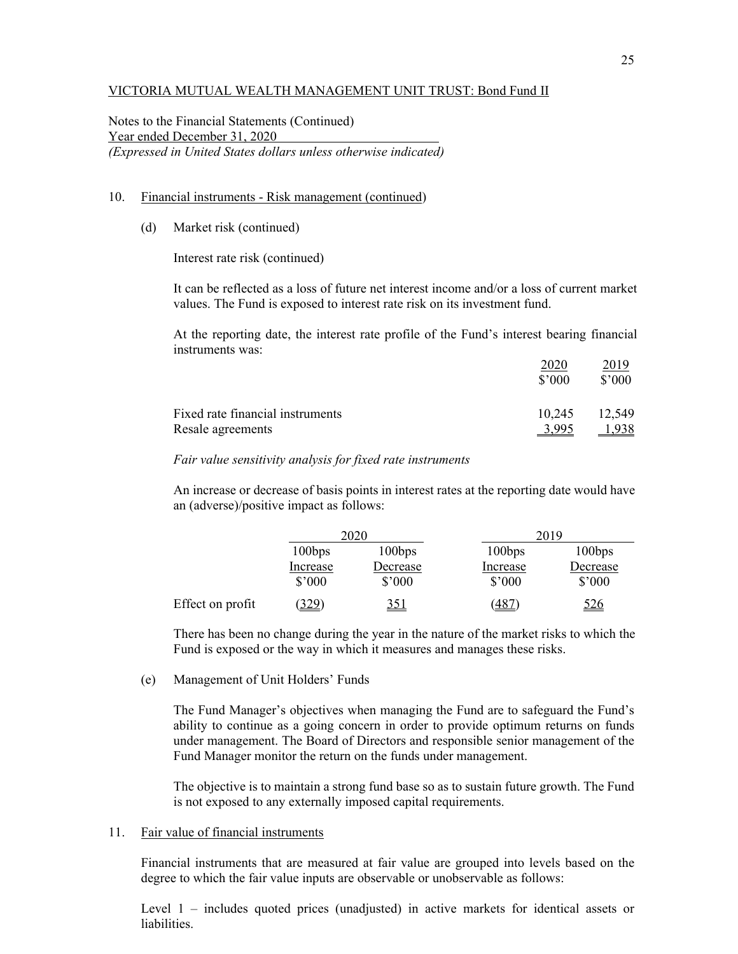Notes to the Financial Statements (Continued) Year ended December 31, 2020 *(Expressed in United States dollars unless otherwise indicated)* 

#### 10. Financial instruments - Risk management (continued)

(d) Market risk (continued)

Interest rate risk (continued)

It can be reflected as a loss of future net interest income and/or a loss of current market values. The Fund is exposed to interest rate risk on its investment fund.

At the reporting date, the interest rate profile of the Fund's interest bearing financial instruments was:

|                                  | $$^{\circ}000$ | 2019<br>\$'000 |
|----------------------------------|----------------|----------------|
| Fixed rate financial instruments | 10,245         | 12,549         |
| Resale agreements                | 3.995          |                |

#### *Fair value sensitivity analysis for fixed rate instruments*

An increase or decrease of basis points in interest rates at the reporting date would have an (adverse)/positive impact as follows:

|                  | 2020               |                    |                    | 2019               |
|------------------|--------------------|--------------------|--------------------|--------------------|
|                  | 100bps             | 100bps             | 100bps             | 100bps             |
|                  | Increase<br>\$'000 | Decrease<br>\$'000 | Increase<br>\$'000 | Decrease<br>\$'000 |
| Effect on profit | <u>(329)</u>       | <u>351</u>         | <u>(487</u>        | <u>526</u>         |

There has been no change during the year in the nature of the market risks to which the Fund is exposed or the way in which it measures and manages these risks.

(e) Management of Unit Holders' Funds

The Fund Manager's objectives when managing the Fund are to safeguard the Fund's ability to continue as a going concern in order to provide optimum returns on funds under management. The Board of Directors and responsible senior management of the Fund Manager monitor the return on the funds under management.

The objective is to maintain a strong fund base so as to sustain future growth. The Fund is not exposed to any externally imposed capital requirements.

#### 11. Fair value of financial instruments

Financial instruments that are measured at fair value are grouped into levels based on the degree to which the fair value inputs are observable or unobservable as follows:

Level 1 – includes quoted prices (unadjusted) in active markets for identical assets or liabilities.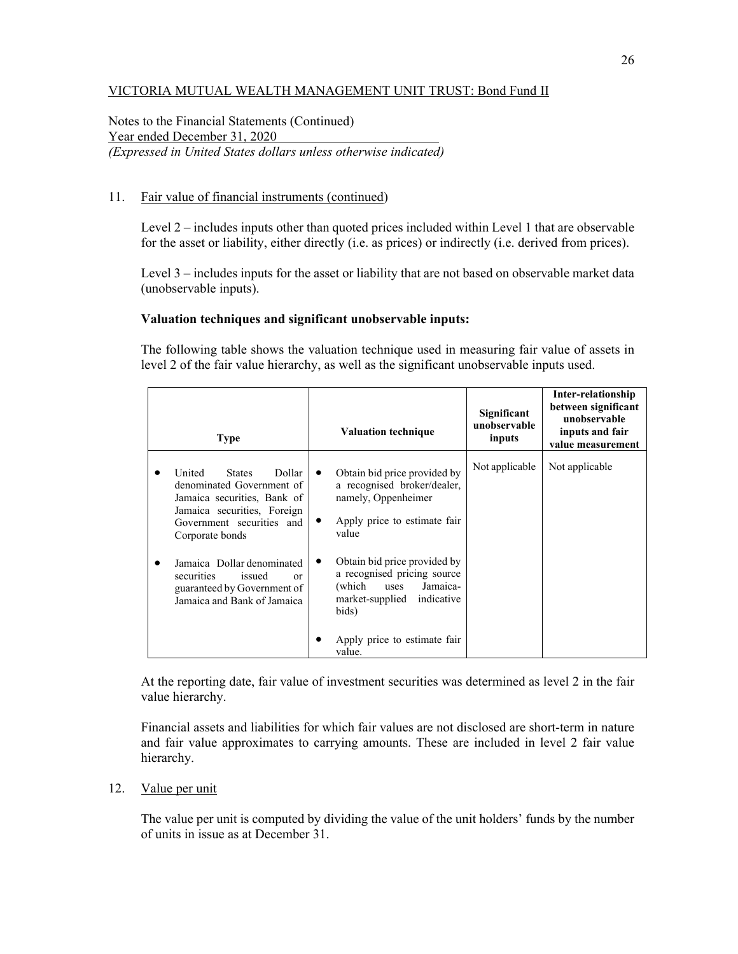Notes to the Financial Statements (Continued) Year ended December 31, 2020 *(Expressed in United States dollars unless otherwise indicated)* 

## 11. Fair value of financial instruments (continued)

Level 2 – includes inputs other than quoted prices included within Level 1 that are observable for the asset or liability, either directly (i.e. as prices) or indirectly (i.e. derived from prices).

Level 3 – includes inputs for the asset or liability that are not based on observable market data (unobservable inputs).

## **Valuation techniques and significant unobservable inputs:**

The following table shows the valuation technique used in measuring fair value of assets in level 2 of the fair value hierarchy, as well as the significant unobservable inputs used.

| <b>Type</b>                                                                                                                                                                                                                                                                                                       | <b>Valuation technique</b>                                                                                                                                                                                                                                                                                                 | Significant<br>unobservable<br>inputs | Inter-relationship<br>between significant<br>unobservable<br>inputs and fair<br>value measurement |
|-------------------------------------------------------------------------------------------------------------------------------------------------------------------------------------------------------------------------------------------------------------------------------------------------------------------|----------------------------------------------------------------------------------------------------------------------------------------------------------------------------------------------------------------------------------------------------------------------------------------------------------------------------|---------------------------------------|---------------------------------------------------------------------------------------------------|
| United<br>Dollar<br><b>States</b><br>denominated Government of<br>Jamaica securities, Bank of<br>Jamaica securities, Foreign<br>Government securities and<br>Corporate bonds<br>Jamaica Dollar denominated<br>securities<br>issued<br><sub>or</sub><br>guaranteed by Government of<br>Jamaica and Bank of Jamaica | Obtain bid price provided by<br>$\bullet$<br>a recognised broker/dealer,<br>namely, Oppenheimer<br>Apply price to estimate fair<br>value<br>Obtain bid price provided by<br>a recognised pricing source<br>(which)<br>Jamaica-<br>uses<br>market-supplied<br>indicative<br>bids)<br>Apply price to estimate fair<br>value. | Not applicable                        | Not applicable                                                                                    |

At the reporting date, fair value of investment securities was determined as level 2 in the fair value hierarchy.

Financial assets and liabilities for which fair values are not disclosed are short-term in nature and fair value approximates to carrying amounts. These are included in level 2 fair value hierarchy.

#### 12. Value per unit

 The value per unit is computed by dividing the value of the unit holders' funds by the number of units in issue as at December 31.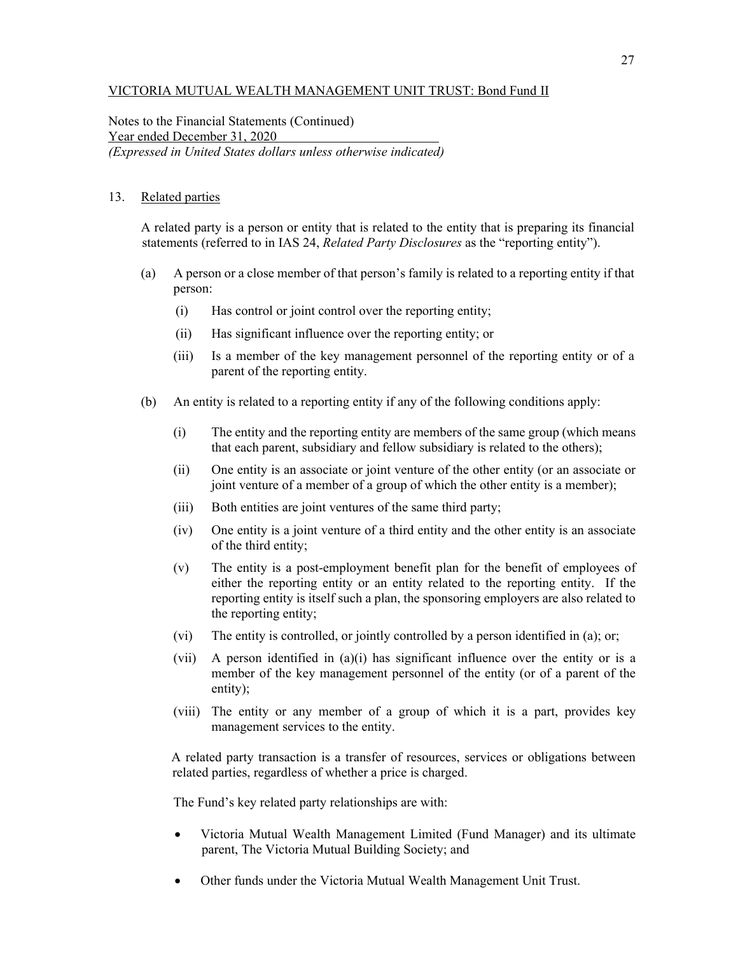Notes to the Financial Statements (Continued) Year ended December 31, 2020 *(Expressed in United States dollars unless otherwise indicated)* 

## 13. Related parties

A related party is a person or entity that is related to the entity that is preparing its financial statements (referred to in IAS 24, *Related Party Disclosures* as the "reporting entity").

- (a) A person or a close member of that person's family is related to a reporting entity if that person:
	- (i) Has control or joint control over the reporting entity;
	- (ii) Has significant influence over the reporting entity; or
	- (iii) Is a member of the key management personnel of the reporting entity or of a parent of the reporting entity.
- (b) An entity is related to a reporting entity if any of the following conditions apply:
	- (i) The entity and the reporting entity are members of the same group (which means that each parent, subsidiary and fellow subsidiary is related to the others);
	- (ii) One entity is an associate or joint venture of the other entity (or an associate or joint venture of a member of a group of which the other entity is a member);
	- (iii) Both entities are joint ventures of the same third party;
	- (iv) One entity is a joint venture of a third entity and the other entity is an associate of the third entity;
	- (v) The entity is a post-employment benefit plan for the benefit of employees of either the reporting entity or an entity related to the reporting entity. If the reporting entity is itself such a plan, the sponsoring employers are also related to the reporting entity;
	- (vi) The entity is controlled, or jointly controlled by a person identified in (a); or;
	- (vii) A person identified in (a)(i) has significant influence over the entity or is a member of the key management personnel of the entity (or of a parent of the entity);
	- (viii) The entity or any member of a group of which it is a part, provides key management services to the entity.

A related party transaction is a transfer of resources, services or obligations between related parties, regardless of whether a price is charged.

The Fund's key related party relationships are with:

- Victoria Mutual Wealth Management Limited (Fund Manager) and its ultimate parent, The Victoria Mutual Building Society; and
- Other funds under the Victoria Mutual Wealth Management Unit Trust.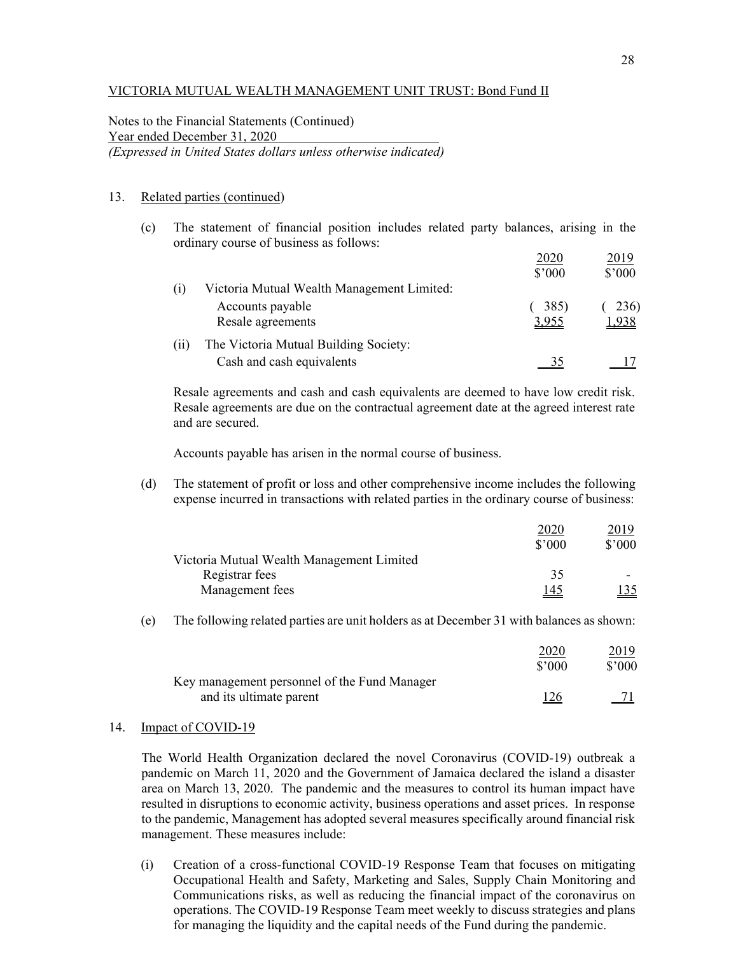Notes to the Financial Statements (Continued) Year ended December 31, 2020 *(Expressed in United States dollars unless otherwise indicated)* 

#### 13. Related parties (continued)

(c) The statement of financial position includes related party balances, arising in the ordinary course of business as follows:

|      |                                            | 2020   | <u> 2019</u> |
|------|--------------------------------------------|--------|--------------|
|      |                                            | \$'000 | \$'000       |
| (1)  | Victoria Mutual Wealth Management Limited: |        |              |
|      | Accounts payable                           | 385)   | 236)         |
|      | Resale agreements                          | 3,955  | <u>1,938</u> |
| (11) | The Victoria Mutual Building Society:      |        |              |
|      | Cash and cash equivalents                  |        |              |

Resale agreements and cash and cash equivalents are deemed to have low credit risk. Resale agreements are due on the contractual agreement date at the agreed interest rate and are secured.

Accounts payable has arisen in the normal course of business.

(d) The statement of profit or loss and other comprehensive income includes the following expense incurred in transactions with related parties in the ordinary course of business:

|                                           | 2020           | 2019        |
|-------------------------------------------|----------------|-------------|
|                                           | $$^{\circ}000$ | \$'000      |
| Victoria Mutual Wealth Management Limited |                |             |
| Registrar fees                            | 35             |             |
| Management fees                           | <u> 145</u>    | <u> 135</u> |

(e) The following related parties are unit holders as at December 31 with balances as shown:

|                                              | 2020<br>\$2000 | <u> 2019 </u><br>$$^{\prime}000$ |
|----------------------------------------------|----------------|----------------------------------|
| Key management personnel of the Fund Manager |                |                                  |
| and its ultimate parent                      | <u>126</u>     |                                  |

#### 14. Impact of COVID-19

The World Health Organization declared the novel Coronavirus (COVID-19) outbreak a pandemic on March 11, 2020 and the Government of Jamaica declared the island a disaster area on March 13, 2020. The pandemic and the measures to control its human impact have resulted in disruptions to economic activity, business operations and asset prices. In response to the pandemic, Management has adopted several measures specifically around financial risk management. These measures include:

(i) Creation of a cross-functional COVID-19 Response Team that focuses on mitigating Occupational Health and Safety, Marketing and Sales, Supply Chain Monitoring and Communications risks, as well as reducing the financial impact of the coronavirus on operations. The COVID-19 Response Team meet weekly to discuss strategies and plans for managing the liquidity and the capital needs of the Fund during the pandemic.